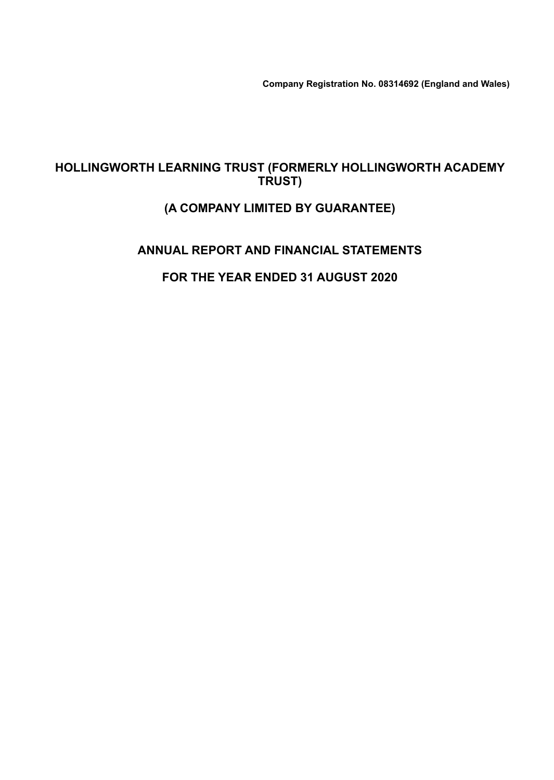**Company Registration No. 08314692 (England and Wales)**

### **HOLLINGWORTH LEARNING TRUST (FORMERLY HOLLINGWORTH ACADEMY TRUST)**

### **(A COMPANY LIMITED BY GUARANTEE)**

### **ANNUAL REPORT AND FINANCIAL STATEMENTS**

### **FOR THE YEAR ENDED 31 AUGUST 2020**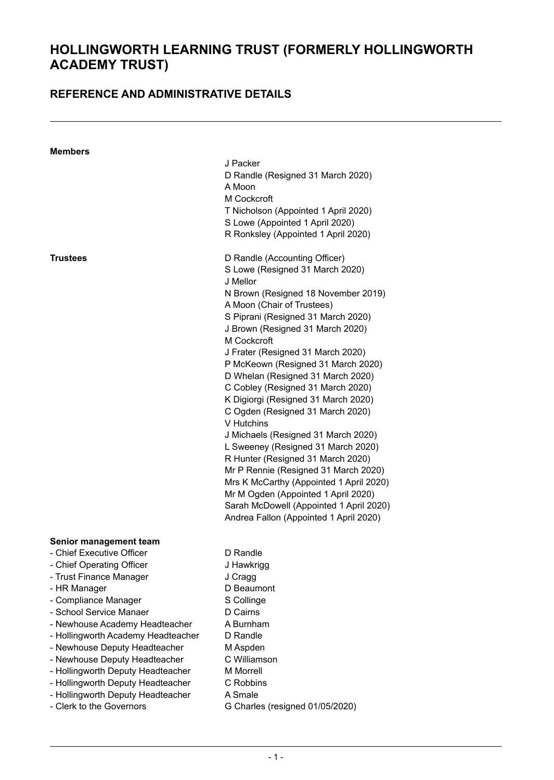### **REFERENCE AND ADMINISTRATIVE DETAILS**

| <b>Members</b>                     | J Packer                                |
|------------------------------------|-----------------------------------------|
|                                    | D Randle (Resigned 31 March 2020)       |
|                                    | A Moon                                  |
|                                    | M Cockcroft                             |
|                                    | T Nicholson (Appointed 1 April 2020)    |
|                                    | S Lowe (Appointed 1 April 2020)         |
|                                    | R Ronksley (Appointed 1 April 2020)     |
| Trustees                           | D Randle (Accounting Officer)           |
|                                    | S Lowe (Resigned 31 March 2020)         |
|                                    | J Mellor                                |
|                                    | N Brown (Resigned 18 November 2019)     |
|                                    | A Moon (Chair of Trustees)              |
|                                    | S Piprani (Resigned 31 March 2020)      |
|                                    | J Brown (Resigned 31 March 2020)        |
|                                    | M Cockcroft                             |
|                                    | J Frater (Resigned 31 March 2020)       |
|                                    | P McKeown (Resigned 31 March 2020)      |
|                                    | D Whelan (Resigned 31 March 2020)       |
|                                    | C Cobley (Resigned 31 March 2020)       |
|                                    | K Digiorgi (Resigned 31 March 2020)     |
|                                    | C Ogden (Resigned 31 March 2020)        |
|                                    | V Hutchins                              |
|                                    | J Michaels (Resigned 31 March 2020)     |
|                                    | L Sweeney (Resigned 31 March 2020)      |
|                                    | R Hunter (Resigned 31 March 2020)       |
|                                    | Mr P Rennie (Resigned 31 March 2020)    |
|                                    | Mrs K McCarthy (Appointed 1 April 2020) |
|                                    | Mr M Ogden (Appointed 1 April 2020)     |
|                                    | Sarah McDowell (Appointed 1 April 2020) |
|                                    | Andrea Fallon (Appointed 1 April 2020)  |
| Senior management team             |                                         |
| - Chief Executive Officer          | D Randle                                |
| - Chief Operating Officer          | J Hawkrigg                              |
| - Trust Finance Manager            | J Cragg                                 |
| - HR Manager                       | D Beaumont                              |
| - Compliance Manager               | S Collinge                              |
| - School Service Manaer            | D Cairns                                |
| - Newhouse Academy Headteacher     | A Burnham                               |
| - Hollingworth Academy Headteacher | D Randle                                |
| - Newhouse Deputy Headteacher      | M Aspden                                |
| - Newhouse Deputy Headteacher      | C Williamson                            |
|                                    |                                         |

- Hollingworth Deputy Headteacher M Morrell
- Hollingworth Deputy Headteacher C Robbins
- Hollingworth Deputy Headteacher A Smale<br>- Clerk to the Governors G Charle
	- G Charles (resigned 01/05/2020)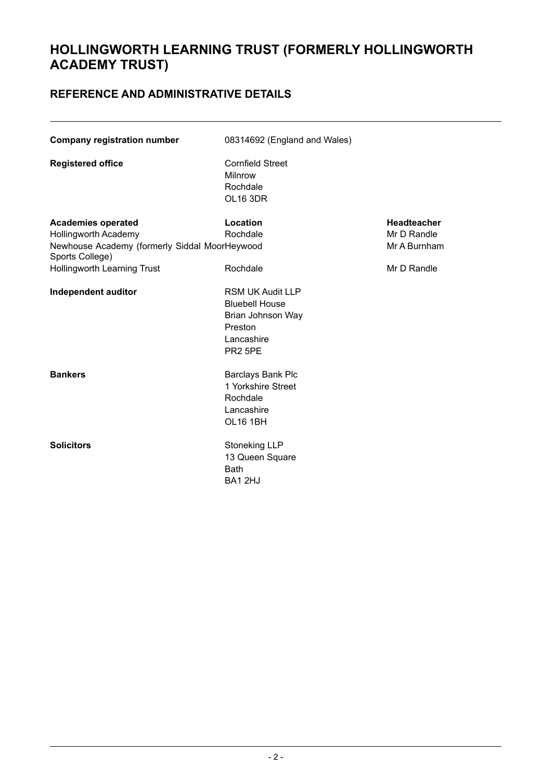### **REFERENCE AND ADMINISTRATIVE DETAILS**

| <b>Company registration number</b>                                                                                           | 08314692 (England and Wales)                                                                                          |                                                   |  |  |  |
|------------------------------------------------------------------------------------------------------------------------------|-----------------------------------------------------------------------------------------------------------------------|---------------------------------------------------|--|--|--|
| <b>Registered office</b>                                                                                                     | <b>Cornfield Street</b><br>Milnrow<br>Rochdale<br>OL16 3DR                                                            |                                                   |  |  |  |
| <b>Academies operated</b><br><b>Hollingworth Academy</b><br>Newhouse Academy (formerly Siddal MoorHeywood<br>Sports College) | Location<br>Rochdale                                                                                                  | <b>Headteacher</b><br>Mr D Randle<br>Mr A Burnham |  |  |  |
| Hollingworth Learning Trust                                                                                                  | Rochdale                                                                                                              | Mr D Randle                                       |  |  |  |
| Independent auditor                                                                                                          | <b>RSM UK Audit LLP</b><br><b>Bluebell House</b><br>Brian Johnson Way<br>Preston<br>Lancashire<br>PR <sub>2</sub> 5PE |                                                   |  |  |  |
| <b>Bankers</b>                                                                                                               | Barclays Bank Plc<br>1 Yorkshire Street<br>Rochdale<br>Lancashire<br><b>OL16 1BH</b>                                  |                                                   |  |  |  |
| <b>Solicitors</b>                                                                                                            | <b>Stoneking LLP</b><br>13 Queen Square<br><b>Bath</b><br>BA1 2HJ                                                     |                                                   |  |  |  |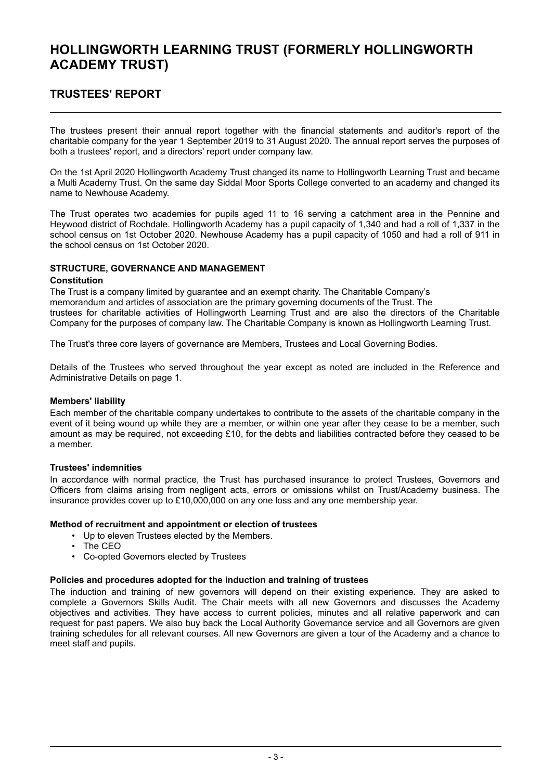### **TRUSTEES' REPORT**

The trustees present their annual report together with the financial statements and auditor's report of the charitable company for the year 1 September 2019 to 31 August 2020. The annual report serves the purposes of both a trustees' report, and a directors' report under company law.

On the 1st April 2020 Hollingworth Academy Trust changed its name to Hollingworth Learning Trust and became a Multi Academy Trust. On the same day Siddal Moor Sports College converted to an academy and changed its name to Newhouse Academy.

The Trust operates two academies for pupils aged 11 to 16 serving a catchment area in the Pennine and Heywood district of Rochdale. Hollingworth Academy has a pupil capacity of 1,340 and had a roll of 1,337 in the school census on 1st October 2020. Newhouse Academy has a pupil capacity of 1050 and had a roll of 911 in the school census on 1st October 2020.

#### **STRUCTURE, GOVERNANCE AND MANAGEMENT**

#### **Constitution**

The Trust is a company limited by guarantee and an exempt charity. The Charitable Company's memorandum and articles of association are the primary governing documents of the Trust. The trustees for charitable activities of Hollingworth Learning Trust and are also the directors of the Charitable Company for the purposes of company law. The Charitable Company is known as Hollingworth Learning Trust.

The Trust's three core layers of governance are Members, Trustees and Local Governing Bodies.

Details of the Trustees who served throughout the year except as noted are included in the Reference and Administrative Details on page 1.

#### **Members' liability**

Each member of the charitable company undertakes to contribute to the assets of the charitable company in the event of it being wound up while they are a member, or within one year after they cease to be a member, such amount as may be required, not exceeding £10, for the debts and liabilities contracted before they ceased to be a member.

#### **Trustees' indemnities**

In accordance with normal practice, the Trust has purchased insurance to protect Trustees, Governors and Officers from claims arising from negligent acts, errors or omissions whilst on Trust/Academy business. The insurance provides cover up to  $£10,000,000$  on any one loss and any one membership year.

#### **Method of recruitment and appointment or election of trustees**

- Up to eleven Trustees elected by the Members.
- The CEO
- Co-opted Governors elected by Trustees

#### **Policies and procedures adopted for the induction and training of trustees**

The induction and training of new governors will depend on their existing experience. They are asked to complete a Governors Skills Audit. The Chair meets with all new Governors and discusses the Academy objectives and activities. They have access to current policies, minutes and all relative paperwork and can request for past papers. We also buy back the Local Authority Governance service and all Governors are given training schedules for all relevant courses. All new Governors are given a tour of the Academy and a chance to meet staff and pupils.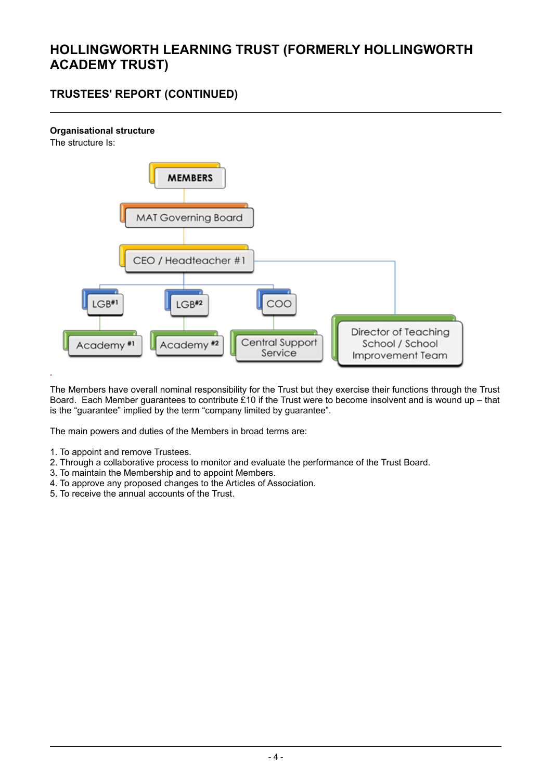### **TRUSTEES' REPORT (CONTINUED)**

#### **Organisational structure**





The Members have overall nominal responsibility for the Trust but they exercise their functions through the Trust Board. Each Member guarantees to contribute £10 if the Trust were to become insolvent and is wound up – that is the "guarantee" implied by the term "company limited by guarantee".

The main powers and duties of the Members in broad terms are:

- 1. To appoint and remove Trustees.
- 2. Through a collaborative process to monitor and evaluate the performance of the Trust Board.
- 3. To maintain the Membership and to appoint Members.
- 4. To approve any proposed changes to the Articles of Association.
- 5. To receive the annual accounts of the Trust.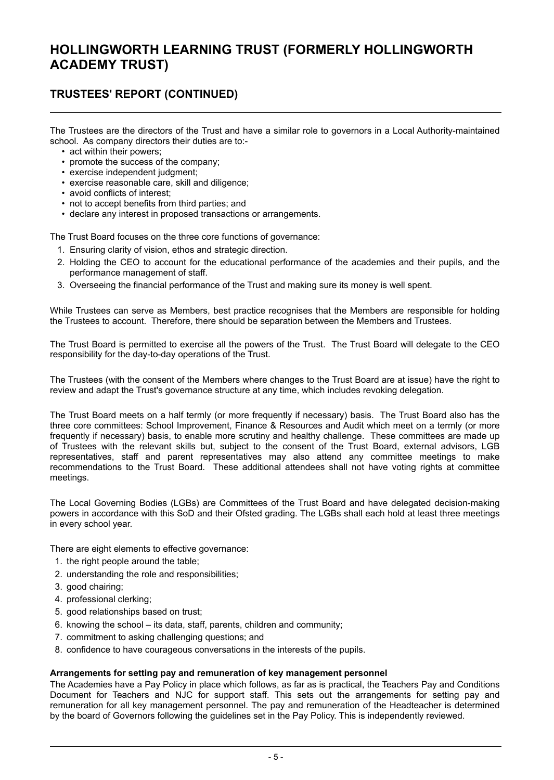### **TRUSTEES' REPORT (CONTINUED)**

The Trustees are the directors of the Trust and have a similar role to governors in a Local Authority-maintained school. As company directors their duties are to:-

- act within their powers;
- promote the success of the company;
- exercise independent judgment;
- exercise reasonable care, skill and diligence;
- avoid conflicts of interest;
- not to accept benefits from third parties; and
- declare any interest in proposed transactions or arrangements.

The Trust Board focuses on the three core functions of governance:

- 1. Ensuring clarity of vision, ethos and strategic direction.
- 2. Holding the CEO to account for the educational performance of the academies and their pupils, and the performance management of staff.
- 3. Overseeing the financial performance of the Trust and making sure its money is well spent.

While Trustees can serve as Members, best practice recognises that the Members are responsible for holding the Trustees to account. Therefore, there should be separation between the Members and Trustees.

The Trust Board is permitted to exercise all the powers of the Trust. The Trust Board will delegate to the CEO responsibility for the day-to-day operations of the Trust.

The Trustees (with the consent of the Members where changes to the Trust Board are at issue) have the right to review and adapt the Trust's governance structure at any time, which includes revoking delegation.

The Trust Board meets on a half termly (or more frequently if necessary) basis. The Trust Board also has the three core committees: School Improvement, Finance & Resources and Audit which meet on a termly (or more frequently if necessary) basis, to enable more scrutiny and healthy challenge. These committees are made up of Trustees with the relevant skills but, subject to the consent of the Trust Board, external advisors, LGB representatives, staff and parent representatives may also attend any committee meetings to make recommendations to the Trust Board. These additional attendees shall not have voting rights at committee meetings.

The Local Governing Bodies (LGBs) are Committees of the Trust Board and have delegated decision-making powers in accordance with this SoD and their Ofsted grading. The LGBs shall each hold at least three meetings in every school year.

There are eight elements to effective governance:

- 1. the right people around the table;
- 2. understanding the role and responsibilities;
- 3. good chairing;
- 4. professional clerking;
- 5. good relationships based on trust;
- 6. knowing the school its data, staff, parents, children and community;
- 7. commitment to asking challenging questions; and
- 8. confidence to have courageous conversations in the interests of the pupils.

#### **Arrangements for setting pay and remuneration of key management personnel**

The Academies have a Pay Policy in place which follows, as far as is practical, the Teachers Pay and Conditions Document for Teachers and NJC for support staff. This sets out the arrangements for setting pay and remuneration for all key management personnel. The pay and remuneration of the Headteacher is determined by the board of Governors following the guidelines set in the Pay Policy. This is independently reviewed.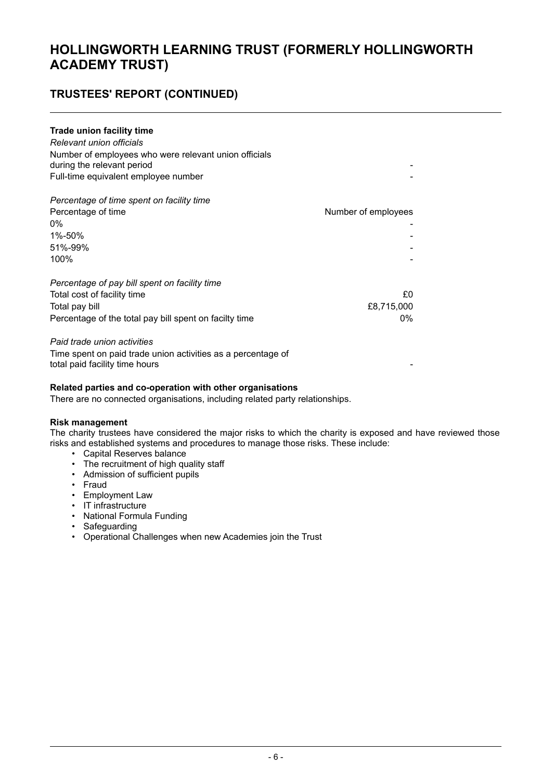### **TRUSTEES' REPORT (CONTINUED)**

#### **Trade union facility time**

| Relevant union officials<br>Number of employees who were relevant union officials<br>during the relevant period<br>Full-time equivalent employee number |                     |
|---------------------------------------------------------------------------------------------------------------------------------------------------------|---------------------|
| Percentage of time spent on facility time                                                                                                               |                     |
| Percentage of time                                                                                                                                      | Number of employees |
| 0%                                                                                                                                                      |                     |
| 1%-50%                                                                                                                                                  |                     |
| 51%-99%                                                                                                                                                 |                     |
| 100%                                                                                                                                                    |                     |
| Percentage of pay bill spent on facility time                                                                                                           |                     |
| Total cost of facility time                                                                                                                             | £0                  |
| Total pay bill                                                                                                                                          | £8,715,000          |
| Percentage of the total pay bill spent on facilty time                                                                                                  | 0%                  |

#### *Paid trade union activities*

Time spent on paid trade union activities as a percentage of total paid facility time hours

#### **Related parties and co-operation with other organisations**

There are no connected organisations, including related party relationships.

#### **Risk management**

The charity trustees have considered the major risks to which the charity is exposed and have reviewed those risks and established systems and procedures to manage those risks. These include:

- Capital Reserves balance
- The recruitment of high quality staff
- Admission of sufficient pupils
- Fraud
- Employment Law
- IT infrastructure
- National Formula Funding
- Safeguarding
- Operational Challenges when new Academies join the Trust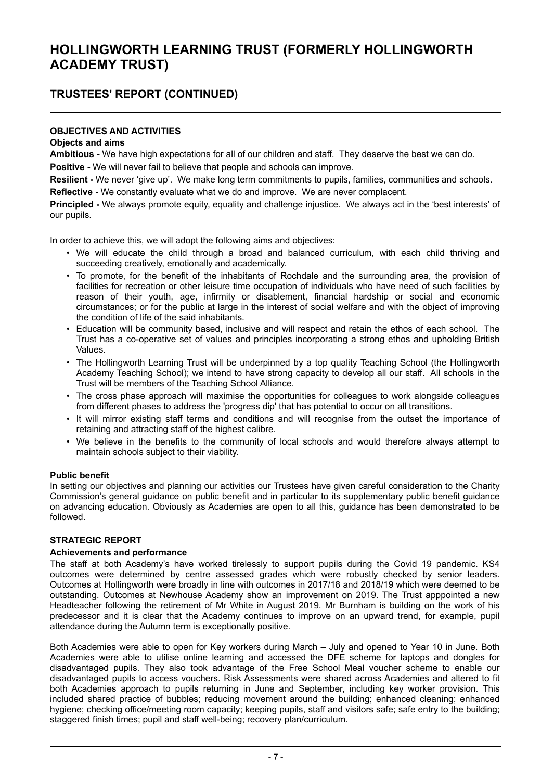### **TRUSTEES' REPORT (CONTINUED)**

#### **OBJECTIVES AND ACTIVITIES**

#### **Objects and aims**

**Ambitious -** We have high expectations for all of our children and staff. They deserve the best we can do. **Positive -** We will never fail to believe that people and schools can improve.

**Resilient -** We never 'give up'. We make long term commitments to pupils, families, communities and schools. **Reflective -** We constantly evaluate what we do and improve. We are never complacent.

**Principled -** We always promote equity, equality and challenge injustice. We always act in the 'best interests' of our pupils.

In order to achieve this, we will adopt the following aims and objectives:

- We will educate the child through a broad and balanced curriculum, with each child thriving and succeeding creatively, emotionally and academically.
- To promote, for the benefit of the inhabitants of Rochdale and the surrounding area, the provision of facilities for recreation or other leisure time occupation of individuals who have need of such facilities by reason of their youth, age, infirmity or disablement, financial hardship or social and economic circumstances; or for the public at large in the interest of social welfare and with the object of improving the condition of life of the said inhabitants.
- Education will be community based, inclusive and will respect and retain the ethos of each school. The Trust has a co-operative set of values and principles incorporating a strong ethos and upholding British Values.
- The Hollingworth Learning Trust will be underpinned by a top quality Teaching School (the Hollingworth Academy Teaching School); we intend to have strong capacity to develop all our staff. All schools in the Trust will be members of the Teaching School Alliance.
- The cross phase approach will maximise the opportunities for colleagues to work alongside colleagues from different phases to address the 'progress dip' that has potential to occur on all transitions.
- It will mirror existing staff terms and conditions and will recognise from the outset the importance of retaining and attracting staff of the highest calibre.
- We believe in the benefits to the community of local schools and would therefore always attempt to maintain schools subject to their viability.

#### **Public benefit**

In setting our objectives and planning our activities our Trustees have given careful consideration to the Charity Commission's general guidance on public benefit and in particular to its supplementary public benefit guidance on advancing education. Obviously as Academies are open to all this, guidance has been demonstrated to be followed.

#### **STRATEGIC REPORT**

#### **Achievements and performance**

The staff at both Academy's have worked tirelessly to support pupils during the Covid 19 pandemic. KS4 outcomes were determined by centre assessed grades which were robustly checked by senior leaders. Outcomes at Hollingworth were broadly in line with outcomes in 2017/18 and 2018/19 which were deemed to be outstanding. Outcomes at Newhouse Academy show an improvement on 2019. The Trust apppointed a new Headteacher following the retirement of Mr White in August 2019. Mr Burnham is building on the work of his predecessor and it is clear that the Academy continues to improve on an upward trend, for example, pupil attendance during the Autumn term is exceptionally positive.

Both Academies were able to open for Key workers during March – July and opened to Year 10 in June. Both Academies were able to utilise online learning and accessed the DFE scheme for laptops and dongles for disadvantaged pupils. They also took advantage of the Free School Meal voucher scheme to enable our disadvantaged pupils to access vouchers. Risk Assessments were shared across Academies and altered to fit both Academies approach to pupils returning in June and September, including key worker provision. This included shared practice of bubbles; reducing movement around the building; enhanced cleaning; enhanced hygiene; checking office/meeting room capacity; keeping pupils, staff and visitors safe; safe entry to the building; staggered finish times; pupil and staff well-being; recovery plan/curriculum.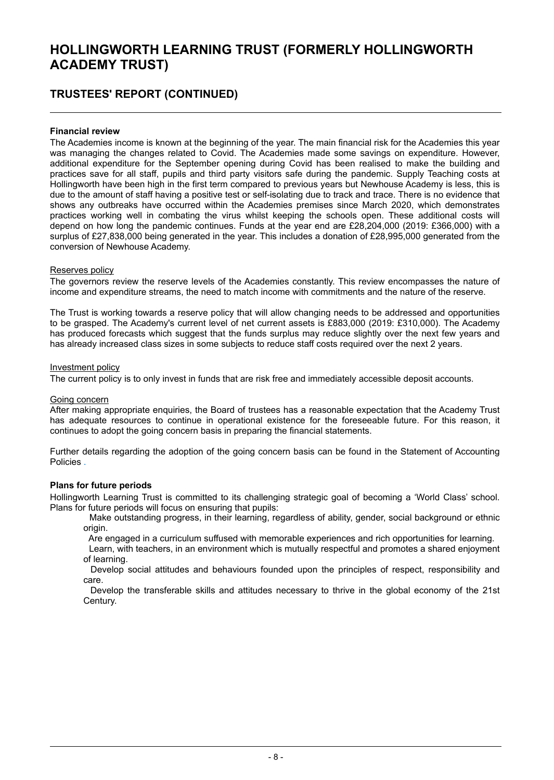### **TRUSTEES' REPORT (CONTINUED)**

#### **Financial review**

The Academies income is known at the beginning of the year. The main financial risk for the Academies this year was managing the changes related to Covid. The Academies made some savings on expenditure. However, additional expenditure for the September opening during Covid has been realised to make the building and practices save for all staff, pupils and third party visitors safe during the pandemic. Supply Teaching costs at Hollingworth have been high in the first term compared to previous years but Newhouse Academy is less, this is due to the amount of staff having a positive test or self-isolating due to track and trace. There is no evidence that shows any outbreaks have occurred within the Academies premises since March 2020, which demonstrates practices working well in combating the virus whilst keeping the schools open. These additional costs will depend on how long the pandemic continues. Funds at the year end are £28,204,000 (2019: £366,000) with a surplus of £27,838,000 being generated in the year. This includes a donation of £28,995,000 generated from the conversion of Newhouse Academy.

#### Reserves policy

The governors review the reserve levels of the Academies constantly. This review encompasses the nature of income and expenditure streams, the need to match income with commitments and the nature of the reserve.

The Trust is working towards a reserve policy that will allow changing needs to be addressed and opportunities to be grasped. The Academy's current level of net current assets is £883,000 (2019: £310,000). The Academy has produced forecasts which suggest that the funds surplus may reduce slightly over the next few years and has already increased class sizes in some subjects to reduce staff costs required over the next 2 years.

#### Investment policy

The current policy is to only invest in funds that are risk free and immediately accessible deposit accounts.

#### Going concern

After making appropriate enquiries, the Board of trustees has a reasonable expectation that the Academy Trust has adequate resources to continue in operational existence for the foreseeable future. For this reason, it continues to adopt the going concern basis in preparing the financial statements.

Further details regarding the adoption of the going concern basis can be found in the Statement of Accounting Policies .

#### **Plans for future periods**

Hollingworth Learning Trust is committed to its challenging strategic goal of becoming a 'World Class' school. Plans for future periods will focus on ensuring that pupils:

Make outstanding progress, in their learning, regardless of ability, gender, social background or ethnic origin.

Are engaged in a curriculum suffused with memorable experiences and rich opportunities for learning.

Learn, with teachers, in an environment which is mutually respectful and promotes a shared enjoyment of learning.

Develop social attitudes and behaviours founded upon the principles of respect, responsibility and care.

Develop the transferable skills and attitudes necessary to thrive in the global economy of the 21st Century.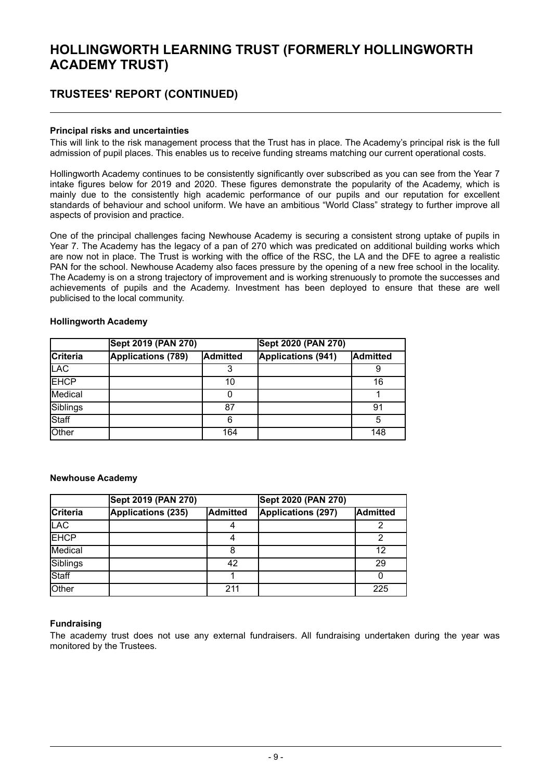### **TRUSTEES' REPORT (CONTINUED)**

#### **Principal risks and uncertainties**

This will link to the risk management process that the Trust has in place. The Academy's principal risk is the full admission of pupil places. This enables us to receive funding streams matching our current operational costs.

Hollingworth Academy continues to be consistently significantly over subscribed as you can see from the Year 7 intake figures below for 2019 and 2020. These figures demonstrate the popularity of the Academy, which is mainly due to the consistently high academic performance of our pupils and our reputation for excellent standards of behaviour and school uniform. We have an ambitious "World Class" strategy to further improve all aspects of provision and practice.

One of the principal challenges facing Newhouse Academy is securing a consistent strong uptake of pupils in Year 7. The Academy has the legacy of a pan of 270 which was predicated on additional building works which are now not in place. The Trust is working with the office of the RSC, the LA and the DFE to agree a realistic PAN for the school. Newhouse Academy also faces pressure by the opening of a new free school in the locality. The Academy is on a strong trajectory of improvement and is working strenuously to promote the successes and achievements of pupils and the Academy. Investment has been deployed to ensure that these are well publicised to the local community.

|                 | Sept 2019 (PAN 270)       |                 | Sept 2020 (PAN 270)       |                 |
|-----------------|---------------------------|-----------------|---------------------------|-----------------|
| <b>Criteria</b> | <b>Applications (789)</b> | <b>Admitted</b> | <b>Applications (941)</b> | <b>Admitted</b> |
| <b>LAC</b>      |                           |                 |                           | 9               |
| <b>EHCP</b>     |                           | 10              |                           | 16              |
| Medical         |                           |                 |                           |                 |
| Siblings        |                           | 87              |                           | 91              |
| Staff           |                           | 6               |                           | 5               |
| Other           |                           | 164             |                           | 148             |

#### **Hollingworth Academy**

#### **Newhouse Academy**

|                 | Sept 2019 (PAN 270) |          | Sept 2020 (PAN 270) |          |  |
|-----------------|---------------------|----------|---------------------|----------|--|
| <b>Criteria</b> | Applications (235)  | Admitted | Applications (297)  | Admitted |  |
| <b>LAC</b>      |                     |          |                     |          |  |
| <b>EHCP</b>     |                     | 4        |                     | າ        |  |
| <b>Medical</b>  |                     | 8        |                     | 12       |  |
| Siblings        |                     | 42       |                     | 29       |  |
| <b>Staff</b>    |                     |          |                     |          |  |
| <b>Other</b>    |                     | 211      |                     | 225      |  |

#### **Fundraising**

The academy trust does not use any external fundraisers. All fundraising undertaken during the year was monitored by the Trustees.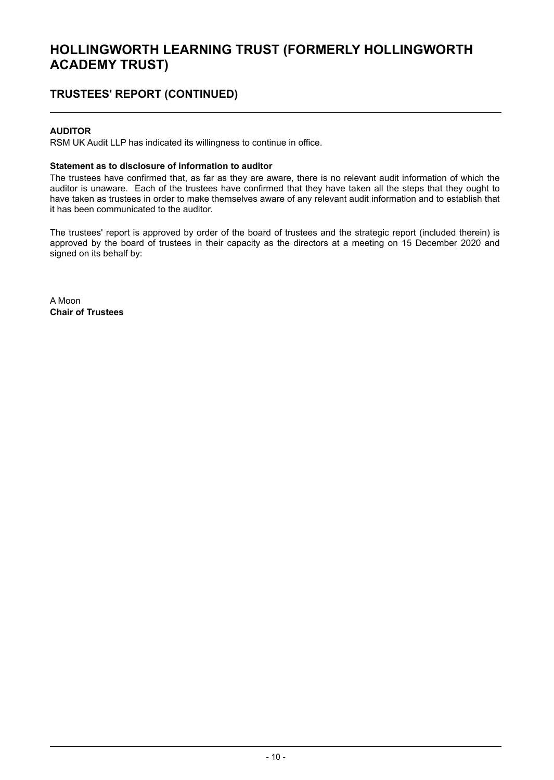### **TRUSTEES' REPORT (CONTINUED)**

#### **AUDITOR**

RSM UK Audit LLP has indicated its willingness to continue in office.

#### **Statement as to disclosure of information to auditor**

The trustees have confirmed that, as far as they are aware, there is no relevant audit information of which the auditor is unaware. Each of the trustees have confirmed that they have taken all the steps that they ought to have taken as trustees in order to make themselves aware of any relevant audit information and to establish that it has been communicated to the auditor.

The trustees' report is approved by order of the board of trustees and the strategic report (included therein) is approved by the board of trustees in their capacity as the directors at a meeting on 15 December 2020 and signed on its behalf by:

A Moon **Chair of Trustees**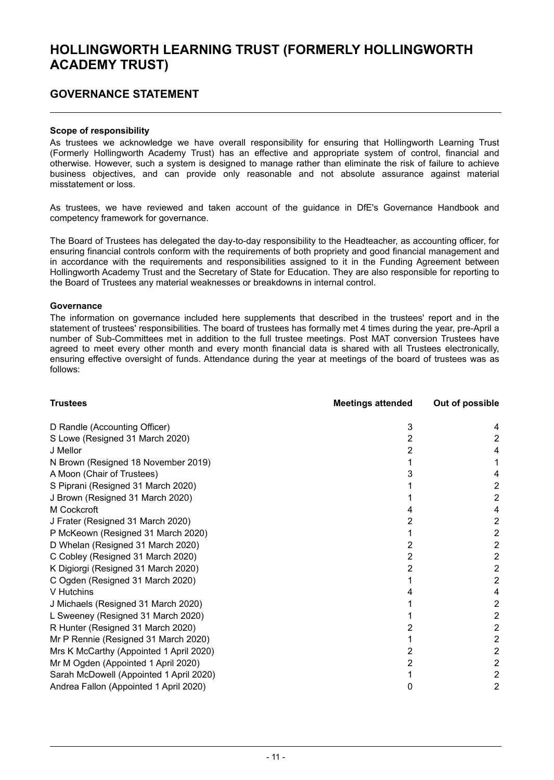### **GOVERNANCE STATEMENT**

#### **Scope of responsibility**

As trustees we acknowledge we have overall responsibility for ensuring that Hollingworth Learning Trust (Formerly Hollingworth Academy Trust) has an effective and appropriate system of control, financial and otherwise. However, such a system is designed to manage rather than eliminate the risk of failure to achieve business objectives, and can provide only reasonable and not absolute assurance against material misstatement or loss.

As trustees, we have reviewed and taken account of the guidance in DfE's Governance Handbook and competency framework for governance.

The Board of Trustees has delegated the day-to-day responsibility to the Headteacher, as accounting officer, for ensuring financial controls conform with the requirements of both propriety and good financial management and in accordance with the requirements and responsibilities assigned to it in the Funding Agreement between Hollingworth Academy Trust and the Secretary of State for Education. They are also responsible for reporting to the Board of Trustees any material weaknesses or breakdowns in internal control.

#### **Governance**

The information on governance included here supplements that described in the trustees' report and in the statement of trustees' responsibilities. The board of trustees has formally met 4 times during the year, pre-April a number of Sub-Committees met in addition to the full trustee meetings. Post MAT conversion Trustees have agreed to meet every other month and every month financial data is shared with all Trustees electronically, ensuring effective oversight of funds. Attendance during the year at meetings of the board of trustees was as follows:

| <b>Trustees</b>                         | <b>Meetings attended</b> | Out of possible |
|-----------------------------------------|--------------------------|-----------------|
| D Randle (Accounting Officer)           | 3                        |                 |
| S Lowe (Resigned 31 March 2020)         |                          | 2               |
| J Mellor                                |                          |                 |
| N Brown (Resigned 18 November 2019)     |                          |                 |
| A Moon (Chair of Trustees)              |                          |                 |
| S Piprani (Resigned 31 March 2020)      |                          | 2               |
| J Brown (Resigned 31 March 2020)        |                          | 2               |
| M Cockcroft                             |                          | 4               |
| J Frater (Resigned 31 March 2020)       |                          | 2               |
| P McKeown (Resigned 31 March 2020)      |                          | 2               |
| D Whelan (Resigned 31 March 2020)       | 2                        | 2               |
| C Cobley (Resigned 31 March 2020)       |                          | 2               |
| K Digiorgi (Resigned 31 March 2020)     |                          | 2               |
| C Ogden (Resigned 31 March 2020)        |                          | 2               |
| V Hutchins                              |                          |                 |
| J Michaels (Resigned 31 March 2020)     |                          | 2               |
| L Sweeney (Resigned 31 March 2020)      |                          | 2               |
| R Hunter (Resigned 31 March 2020)       |                          | 2               |
| Mr P Rennie (Resigned 31 March 2020)    |                          | 2               |
| Mrs K McCarthy (Appointed 1 April 2020) |                          | 2               |
| Mr M Ogden (Appointed 1 April 2020)     |                          | $\overline{2}$  |
| Sarah McDowell (Appointed 1 April 2020) |                          | 2               |
| Andrea Fallon (Appointed 1 April 2020)  |                          | 2               |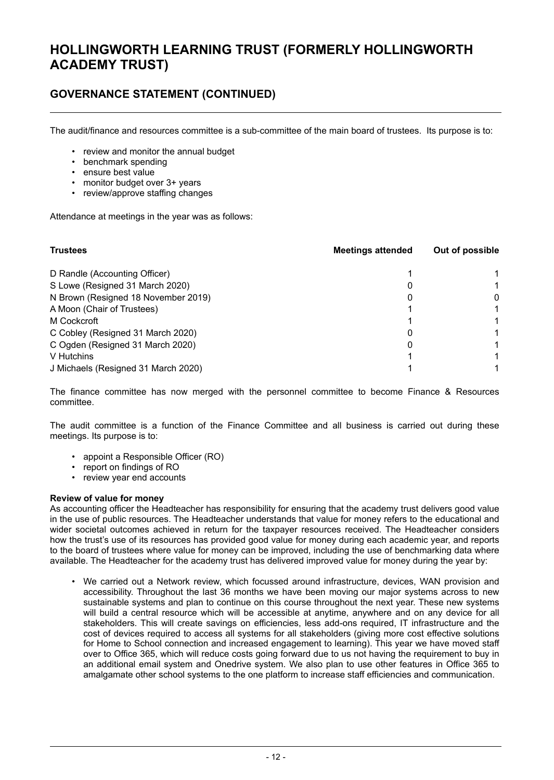### **GOVERNANCE STATEMENT (CONTINUED)**

The audit/finance and resources committee is a sub-committee of the main board of trustees. Its purpose is to:

- review and monitor the annual budget
- benchmark spending
- ensure best value
- monitor budget over 3+ years
- review/approve staffing changes

Attendance at meetings in the year was as follows:

| <b>Trustees</b>                     | <b>Meetings attended</b> | Out of possible |  |
|-------------------------------------|--------------------------|-----------------|--|
| D Randle (Accounting Officer)       |                          |                 |  |
| S Lowe (Resigned 31 March 2020)     |                          |                 |  |
| N Brown (Resigned 18 November 2019) |                          | 0               |  |
| A Moon (Chair of Trustees)          |                          |                 |  |
| M Cockcroft                         |                          |                 |  |
| C Cobley (Resigned 31 March 2020)   |                          |                 |  |
| C Ogden (Resigned 31 March 2020)    |                          | 1               |  |
| V Hutchins                          |                          |                 |  |
| J Michaels (Resigned 31 March 2020) |                          |                 |  |

The finance committee has now merged with the personnel committee to become Finance & Resources committee.

The audit committee is a function of the Finance Committee and all business is carried out during these meetings. Its purpose is to:

- appoint a Responsible Officer (RO)
- report on findings of RO
- review year end accounts

#### **Review of value for money**

As accounting officer the Headteacher has responsibility for ensuring that the academy trust delivers good value in the use of public resources. The Headteacher understands that value for money refers to the educational and wider societal outcomes achieved in return for the taxpayer resources received. The Headteacher considers how the trust's use of its resources has provided good value for money during each academic year, and reports to the board of trustees where value for money can be improved, including the use of benchmarking data where available. The Headteacher for the academy trust has delivered improved value for money during the year by:

• We carried out a Network review, which focussed around infrastructure, devices, WAN provision and accessibility. Throughout the last 36 months we have been moving our major systems across to new sustainable systems and plan to continue on this course throughout the next year. These new systems will build a central resource which will be accessible at anytime, anywhere and on any device for all stakeholders. This will create savings on efficiencies, less add-ons required, IT infrastructure and the cost of devices required to access all systems for all stakeholders (giving more cost effective solutions for Home to School connection and increased engagement to learning). This year we have moved staff over to Office 365, which will reduce costs going forward due to us not having the requirement to buy in an additional email system and Onedrive system. We also plan to use other features in Office 365 to amalgamate other school systems to the one platform to increase staff efficiencies and communication.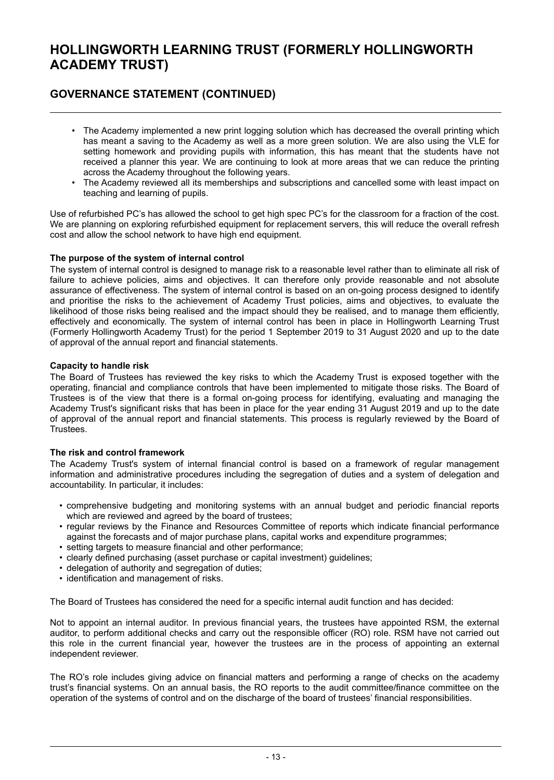### **GOVERNANCE STATEMENT (CONTINUED)**

- The Academy implemented a new print logging solution which has decreased the overall printing which has meant a saving to the Academy as well as a more green solution. We are also using the VLE for setting homework and providing pupils with information, this has meant that the students have not received a planner this year. We are continuing to look at more areas that we can reduce the printing across the Academy throughout the following years.
- The Academy reviewed all its memberships and subscriptions and cancelled some with least impact on teaching and learning of pupils.

Use of refurbished PC's has allowed the school to get high spec PC's for the classroom for a fraction of the cost. We are planning on exploring refurbished equipment for replacement servers, this will reduce the overall refresh cost and allow the school network to have high end equipment.

#### **The purpose of the system of internal control**

The system of internal control is designed to manage risk to a reasonable level rather than to eliminate all risk of failure to achieve policies, aims and objectives. It can therefore only provide reasonable and not absolute assurance of effectiveness. The system of internal control is based on an on-going process designed to identify and prioritise the risks to the achievement of Academy Trust policies, aims and objectives, to evaluate the likelihood of those risks being realised and the impact should they be realised, and to manage them efficiently, effectively and economically. The system of internal control has been in place in Hollingworth Learning Trust (Formerly Hollingworth Academy Trust) for the period 1 September 2019 to 31 August 2020 and up to the date of approval of the annual report and financial statements.

#### **Capacity to handle risk**

The Board of Trustees has reviewed the key risks to which the Academy Trust is exposed together with the operating, financial and compliance controls that have been implemented to mitigate those risks. The Board of Trustees is of the view that there is a formal on-going process for identifying, evaluating and managing the Academy Trust's significant risks that has been in place for the year ending 31 August 2019 and up to the date of approval of the annual report and financial statements. This process is regularly reviewed by the Board of Trustees.

#### **The risk and control framework**

The Academy Trust's system of internal financial control is based on a framework of regular management information and administrative procedures including the segregation of duties and a system of delegation and accountability. In particular, it includes:

- comprehensive budgeting and monitoring systems with an annual budget and periodic financial reports which are reviewed and agreed by the board of trustees;
- regular reviews by the Finance and Resources Committee of reports which indicate financial performance against the forecasts and of major purchase plans, capital works and expenditure programmes;
- setting targets to measure financial and other performance;
- clearly defined purchasing (asset purchase or capital investment) guidelines;
- delegation of authority and segregation of duties;
- identification and management of risks.

The Board of Trustees has considered the need for a specific internal audit function and has decided:

Not to appoint an internal auditor. In previous financial years, the trustees have appointed RSM, the external auditor, to perform additional checks and carry out the responsible officer (RO) role. RSM have not carried out this role in the current financial year, however the trustees are in the process of appointing an external independent reviewer.

The RO's role includes giving advice on financial matters and performing a range of checks on the academy trust's financial systems. On an annual basis, the RO reports to the audit committee/finance committee on the operation of the systems of control and on the discharge of the board of trustees' financial responsibilities.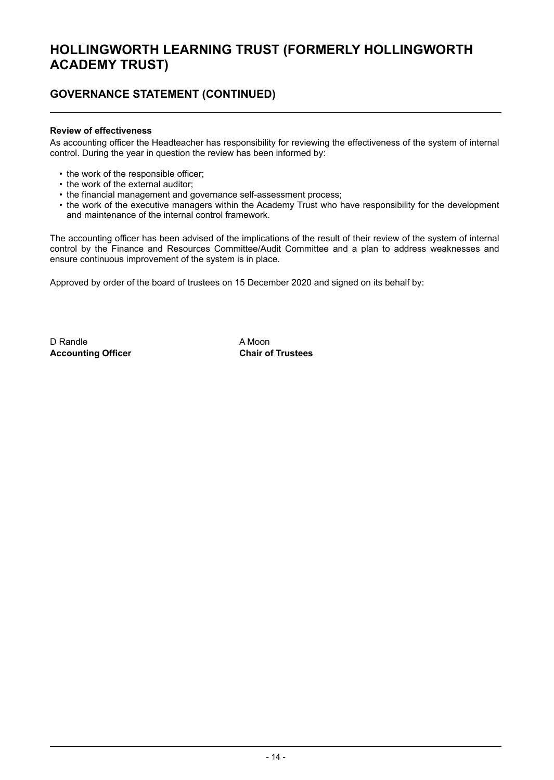### **GOVERNANCE STATEMENT (CONTINUED)**

#### **Review of effectiveness**

As accounting officer the Headteacher has responsibility for reviewing the effectiveness of the system of internal control. During the year in question the review has been informed by:

- the work of the responsible officer;
- the work of the external auditor;
- the financial management and governance self-assessment process;
- the work of the executive managers within the Academy Trust who have responsibility for the development and maintenance of the internal control framework.

The accounting officer has been advised of the implications of the result of their review of the system of internal control by the Finance and Resources Committee/Audit Committee and a plan to address weaknesses and ensure continuous improvement of the system is in place.

Approved by order of the board of trustees on 15 December 2020 and signed on its behalf by:

D Randle **A Moon Accounting Officer Chair of Trustees**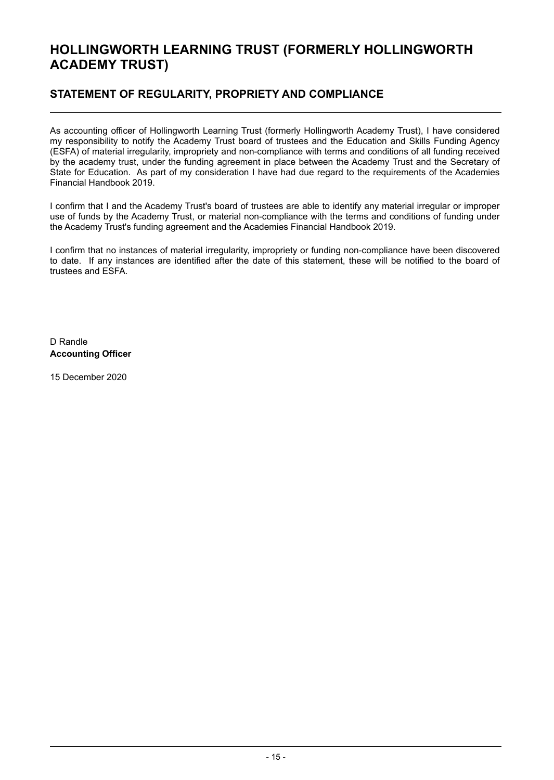### **STATEMENT OF REGULARITY, PROPRIETY AND COMPLIANCE**

As accounting officer of Hollingworth Learning Trust (formerly Hollingworth Academy Trust), I have considered my responsibility to notify the Academy Trust board of trustees and the Education and Skills Funding Agency (ESFA) of material irregularity, impropriety and non-compliance with terms and conditions of all funding received by the academy trust, under the funding agreement in place between the Academy Trust and the Secretary of State for Education. As part of my consideration I have had due regard to the requirements of the Academies Financial Handbook 2019.

I confirm that I and the Academy Trust's board of trustees are able to identify any material irregular or improper use of funds by the Academy Trust, or material non-compliance with the terms and conditions of funding under the Academy Trust's funding agreement and the Academies Financial Handbook 2019.

I confirm that no instances of material irregularity, impropriety or funding non-compliance have been discovered to date. If any instances are identified after the date of this statement, these will be notified to the board of trustees and ESFA.

D Randle **Accounting Officer**

15 December 2020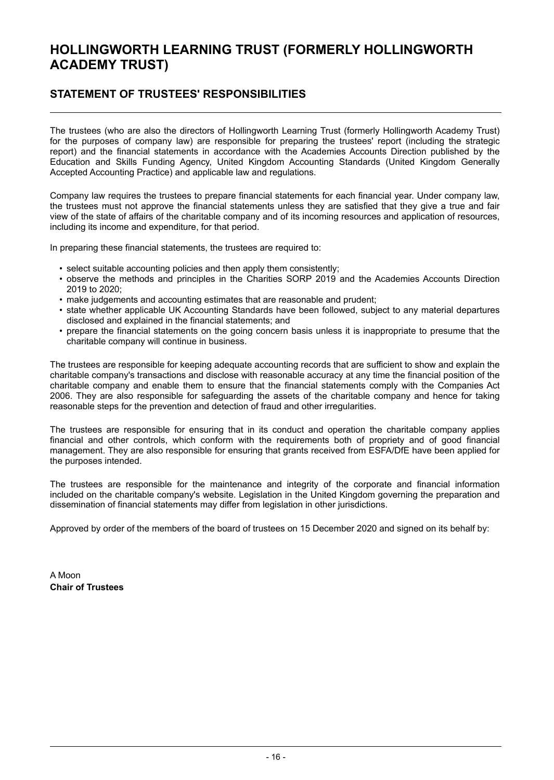### **STATEMENT OF TRUSTEES' RESPONSIBILITIES**

The trustees (who are also the directors of Hollingworth Learning Trust (formerly Hollingworth Academy Trust) for the purposes of company law) are responsible for preparing the trustees' report (including the strategic report) and the financial statements in accordance with the Academies Accounts Direction published by the Education and Skills Funding Agency, United Kingdom Accounting Standards (United Kingdom Generally Accepted Accounting Practice) and applicable law and regulations.

Company law requires the trustees to prepare financial statements for each financial year. Under company law, the trustees must not approve the financial statements unless they are satisfied that they give a true and fair view of the state of affairs of the charitable company and of its incoming resources and application of resources, including its income and expenditure, for that period.

In preparing these financial statements, the trustees are required to:

- select suitable accounting policies and then apply them consistently;
- observe the methods and principles in the Charities SORP 2019 and the Academies Accounts Direction 2019 to 2020;
- make judgements and accounting estimates that are reasonable and prudent;
- state whether applicable UK Accounting Standards have been followed, subject to any material departures disclosed and explained in the financial statements; and
- prepare the financial statements on the going concern basis unless it is inappropriate to presume that the charitable company will continue in business.

The trustees are responsible for keeping adequate accounting records that are sufficient to show and explain the charitable company's transactions and disclose with reasonable accuracy at any time the financial position of the charitable company and enable them to ensure that the financial statements comply with the Companies Act 2006. They are also responsible for safeguarding the assets of the charitable company and hence for taking reasonable steps for the prevention and detection of fraud and other irregularities.

The trustees are responsible for ensuring that in its conduct and operation the charitable company applies financial and other controls, which conform with the requirements both of propriety and of good financial management. They are also responsible for ensuring that grants received from ESFA/DfE have been applied for the purposes intended.

The trustees are responsible for the maintenance and integrity of the corporate and financial information included on the charitable company's website. Legislation in the United Kingdom governing the preparation and dissemination of financial statements may differ from legislation in other jurisdictions.

Approved by order of the members of the board of trustees on 15 December 2020 and signed on its behalf by:

A Moon **Chair of Trustees**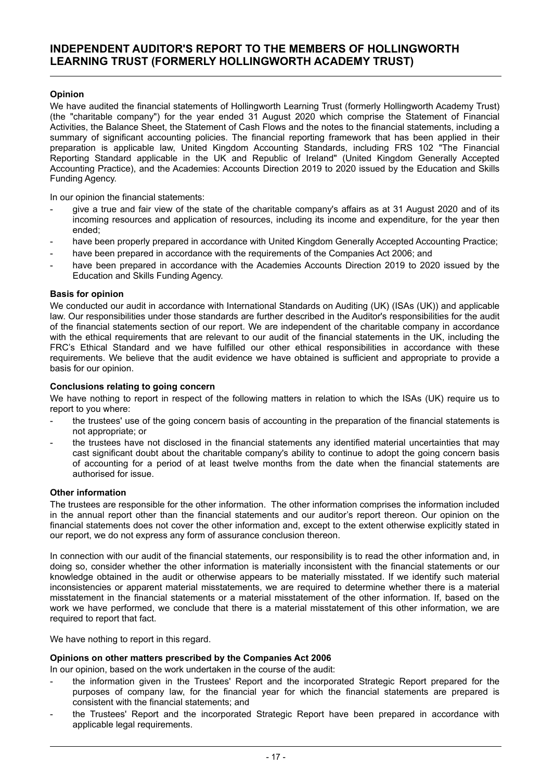### **INDEPENDENT AUDITOR'S REPORT TO THE MEMBERS OF HOLLINGWORTH LEARNING TRUST (FORMERLY HOLLINGWORTH ACADEMY TRUST)**

#### **Opinion**

We have audited the financial statements of Hollingworth Learning Trust (formerly Hollingworth Academy Trust) (the "charitable company") for the year ended 31 August 2020 which comprise the Statement of Financial Activities, the Balance Sheet, the Statement of Cash Flows and the notes to the financial statements, including a summary of significant accounting policies. The financial reporting framework that has been applied in their preparation is applicable law, United Kingdom Accounting Standards, including FRS 102 "The Financial Reporting Standard applicable in the UK and Republic of Ireland" (United Kingdom Generally Accepted Accounting Practice), and the Academies: Accounts Direction 2019 to 2020 issued by the Education and Skills Funding Agency.

In our opinion the financial statements:

- give a true and fair view of the state of the charitable company's affairs as at 31 August 2020 and of its incoming resources and application of resources, including its income and expenditure, for the year then ended;
- have been properly prepared in accordance with United Kingdom Generally Accepted Accounting Practice;
- have been prepared in accordance with the requirements of the Companies Act 2006; and
- have been prepared in accordance with the Academies Accounts Direction 2019 to 2020 issued by the Education and Skills Funding Agency.

#### **Basis for opinion**

We conducted our audit in accordance with International Standards on Auditing (UK) (ISAs (UK)) and applicable law. Our responsibilities under those standards are further described in the Auditor's responsibilities for the audit of the financial statements section of our report. We are independent of the charitable company in accordance with the ethical requirements that are relevant to our audit of the financial statements in the UK, including the FRC's Ethical Standard and we have fulfilled our other ethical responsibilities in accordance with these requirements. We believe that the audit evidence we have obtained is sufficient and appropriate to provide a basis for our opinion.

#### **Conclusions relating to going concern**

We have nothing to report in respect of the following matters in relation to which the ISAs (UK) require us to report to you where:

- the trustees' use of the going concern basis of accounting in the preparation of the financial statements is not appropriate; or
- the trustees have not disclosed in the financial statements any identified material uncertainties that may cast significant doubt about the charitable company's ability to continue to adopt the going concern basis of accounting for a period of at least twelve months from the date when the financial statements are authorised for issue.

#### **Other information**

The trustees are responsible for the other information. The other information comprises the information included in the annual report other than the financial statements and our auditor's report thereon. Our opinion on the financial statements does not cover the other information and, except to the extent otherwise explicitly stated in our report, we do not express any form of assurance conclusion thereon.

In connection with our audit of the financial statements, our responsibility is to read the other information and, in doing so, consider whether the other information is materially inconsistent with the financial statements or our knowledge obtained in the audit or otherwise appears to be materially misstated. If we identify such material inconsistencies or apparent material misstatements, we are required to determine whether there is a material misstatement in the financial statements or a material misstatement of the other information. If, based on the work we have performed, we conclude that there is a material misstatement of this other information, we are required to report that fact.

We have nothing to report in this regard.

#### **Opinions on other matters prescribed by the Companies Act 2006**

In our opinion, based on the work undertaken in the course of the audit:

- the information given in the Trustees' Report and the incorporated Strategic Report prepared for the purposes of company law, for the financial year for which the financial statements are prepared is consistent with the financial statements; and
- the Trustees' Report and the incorporated Strategic Report have been prepared in accordance with applicable legal requirements.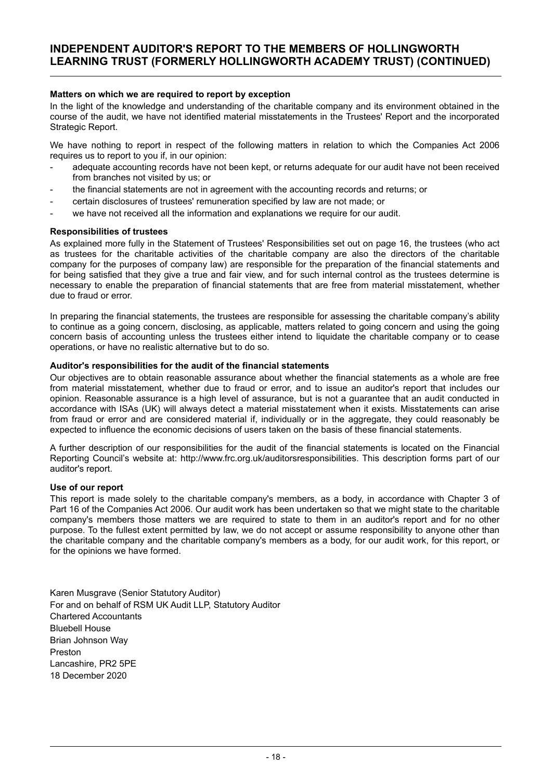#### **INDEPENDENT AUDITOR'S REPORT TO THE MEMBERS OF HOLLINGWORTH LEARNING TRUST (FORMERLY HOLLINGWORTH ACADEMY TRUST) (CONTINUED)**

#### **Matters on which we are required to report by exception**

In the light of the knowledge and understanding of the charitable company and its environment obtained in the course of the audit, we have not identified material misstatements in the Trustees' Report and the incorporated Strategic Report.

We have nothing to report in respect of the following matters in relation to which the Companies Act 2006 requires us to report to you if, in our opinion:

- adequate accounting records have not been kept, or returns adequate for our audit have not been received from branches not visited by us; or
- the financial statements are not in agreement with the accounting records and returns; or
- certain disclosures of trustees' remuneration specified by law are not made; or
- we have not received all the information and explanations we require for our audit.

#### **Responsibilities of trustees**

As explained more fully in the Statement of Trustees' Responsibilities set out on page 16, the trustees (who act as trustees for the charitable activities of the charitable company are also the directors of the charitable company for the purposes of company law) are responsible for the preparation of the financial statements and for being satisfied that they give a true and fair view, and for such internal control as the trustees determine is necessary to enable the preparation of financial statements that are free from material misstatement, whether due to fraud or error.

In preparing the financial statements, the trustees are responsible for assessing the charitable company's ability to continue as a going concern, disclosing, as applicable, matters related to going concern and using the going concern basis of accounting unless the trustees either intend to liquidate the charitable company or to cease operations, or have no realistic alternative but to do so.

#### **Auditor's responsibilities for the audit of the financial statements**

Our objectives are to obtain reasonable assurance about whether the financial statements as a whole are free from material misstatement, whether due to fraud or error, and to issue an auditor's report that includes our opinion. Reasonable assurance is a high level of assurance, but is not a guarantee that an audit conducted in accordance with ISAs (UK) will always detect a material misstatement when it exists. Misstatements can arise from fraud or error and are considered material if, individually or in the aggregate, they could reasonably be expected to influence the economic decisions of users taken on the basis of these financial statements.

A further description of our responsibilities for the audit of the financial statements is located on the Financial Reporting Council's website at: http://www.frc.org.uk/auditorsresponsibilities. This description forms part of our auditor's report.

#### **Use of our report**

This report is made solely to the charitable company's members, as a body, in accordance with Chapter 3 of Part 16 of the Companies Act 2006. Our audit work has been undertaken so that we might state to the charitable company's members those matters we are required to state to them in an auditor's report and for no other purpose. To the fullest extent permitted by law, we do not accept or assume responsibility to anyone other than the charitable company and the charitable company's members as a body, for our audit work, for this report, or for the opinions we have formed.

Karen Musgrave (Senior Statutory Auditor) For and on behalf of RSM UK Audit LLP, Statutory Auditor Chartered Accountants Bluebell House Brian Johnson Way Preston Lancashire, PR2 5PE 18 December 2020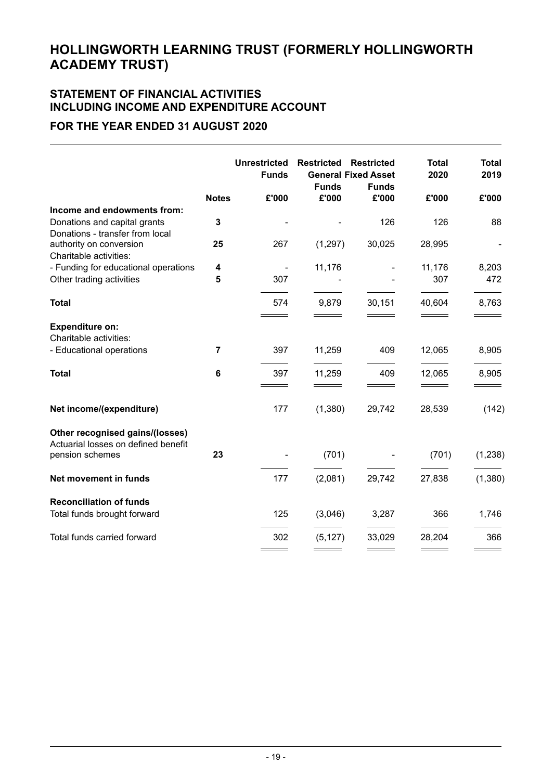### **STATEMENT OF FINANCIAL ACTIVITIES INCLUDING INCOME AND EXPENDITURE ACCOUNT**

### **FOR THE YEAR ENDED 31 AUGUST 2020**

|                                                                                                |                | <b>Unrestricted</b><br><b>Funds</b> | <b>Restricted</b><br><b>Funds</b> | <b>Restricted</b><br><b>General Fixed Asset</b><br><b>Funds</b> | <b>Total</b><br>2020 | <b>Total</b><br>2019 |
|------------------------------------------------------------------------------------------------|----------------|-------------------------------------|-----------------------------------|-----------------------------------------------------------------|----------------------|----------------------|
|                                                                                                | <b>Notes</b>   | £'000                               | £'000                             | £'000                                                           | £'000                | £'000                |
| Income and endowments from:<br>Donations and capital grants<br>Donations - transfer from local | 3              |                                     |                                   | 126                                                             | 126                  | 88                   |
| authority on conversion<br>Charitable activities:                                              | 25             | 267                                 | (1,297)                           | 30,025                                                          | 28,995               |                      |
| - Funding for educational operations                                                           | 4              | $\overline{\phantom{a}}$            | 11,176                            |                                                                 | 11,176               | 8,203                |
| Other trading activities                                                                       | 5              | 307                                 |                                   |                                                                 | 307                  | 472                  |
| <b>Total</b>                                                                                   |                | 574                                 | 9,879                             | 30,151                                                          | 40,604               | 8,763                |
| <b>Expenditure on:</b><br>Charitable activities:                                               |                |                                     |                                   |                                                                 |                      |                      |
| - Educational operations                                                                       | $\overline{7}$ | 397                                 | 11,259                            | 409                                                             | 12,065               | 8,905                |
| <b>Total</b>                                                                                   | 6              | 397                                 | 11,259                            | 409                                                             | 12,065               | 8,905                |
| Net income/(expenditure)                                                                       |                | 177                                 | (1,380)                           | 29,742                                                          | 28,539               | (142)                |
| Other recognised gains/(losses)<br>Actuarial losses on defined benefit<br>pension schemes      | 23             |                                     | (701)                             |                                                                 | (701)                | (1, 238)             |
|                                                                                                |                |                                     |                                   |                                                                 |                      |                      |
| Net movement in funds                                                                          |                | 177                                 | (2,081)                           | 29,742                                                          | 27,838               | (1,380)              |
| <b>Reconciliation of funds</b><br>Total funds brought forward                                  |                | 125                                 | (3,046)                           | 3,287                                                           | 366                  | 1,746                |
| Total funds carried forward                                                                    |                | 302                                 | (5, 127)                          | 33,029                                                          | 28,204               | 366                  |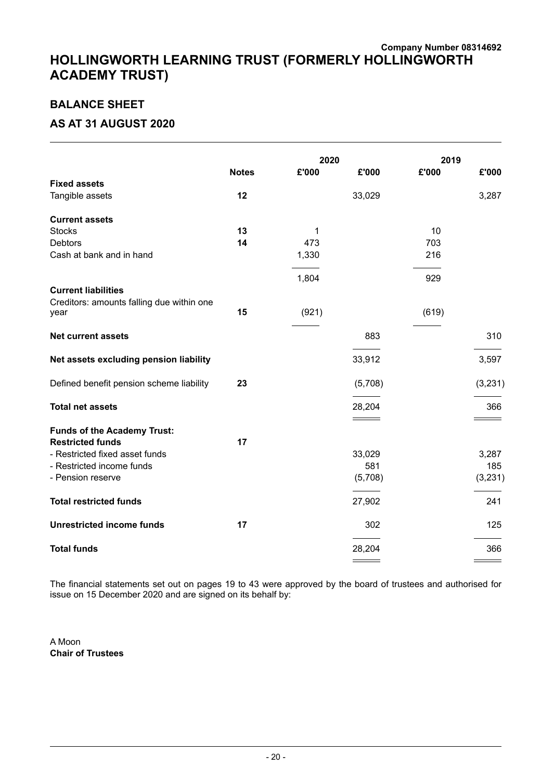### **Company Number 08314692 HOLLINGWORTH LEARNING TRUST (FORMERLY HOLLINGWORTH ACADEMY TRUST)**

### **BALANCE SHEET**

### **AS AT 31 AUGUST 2020**

|                                                               |              | 2020  |         | 2019  |          |
|---------------------------------------------------------------|--------------|-------|---------|-------|----------|
|                                                               | <b>Notes</b> | £'000 | £'000   | £'000 | £'000    |
| <b>Fixed assets</b>                                           |              |       |         |       |          |
| Tangible assets                                               | 12           |       | 33,029  |       | 3,287    |
| <b>Current assets</b>                                         |              |       |         |       |          |
| <b>Stocks</b>                                                 | 13           | 1     |         | 10    |          |
| <b>Debtors</b>                                                | 14           | 473   |         | 703   |          |
| Cash at bank and in hand                                      |              | 1,330 |         | 216   |          |
|                                                               |              | 1,804 |         | 929   |          |
| <b>Current liabilities</b>                                    |              |       |         |       |          |
| Creditors: amounts falling due within one<br>year             | 15           | (921) |         | (619) |          |
| <b>Net current assets</b>                                     |              |       | 883     |       | 310      |
| Net assets excluding pension liability                        |              |       | 33,912  |       | 3,597    |
| Defined benefit pension scheme liability                      | 23           |       | (5,708) |       | (3, 231) |
| <b>Total net assets</b>                                       |              |       | 28,204  |       | 366      |
|                                                               |              |       |         |       |          |
| <b>Funds of the Academy Trust:</b><br><b>Restricted funds</b> | 17           |       |         |       |          |
| - Restricted fixed asset funds                                |              |       | 33,029  |       | 3,287    |
| - Restricted income funds                                     |              |       | 581     |       | 185      |
| - Pension reserve                                             |              |       | (5,708) |       | (3,231)  |
|                                                               |              |       |         |       |          |
| <b>Total restricted funds</b>                                 |              |       | 27,902  |       | 241      |
| <b>Unrestricted income funds</b>                              | 17           |       | 302     |       | 125      |
| <b>Total funds</b>                                            |              |       | 28,204  |       | 366      |
|                                                               |              |       |         |       |          |

The financial statements set out on pages 19 to 43 were approved by the board of trustees and authorised for issue on 15 December 2020 and are signed on its behalf by:

A Moon **Chair of Trustees**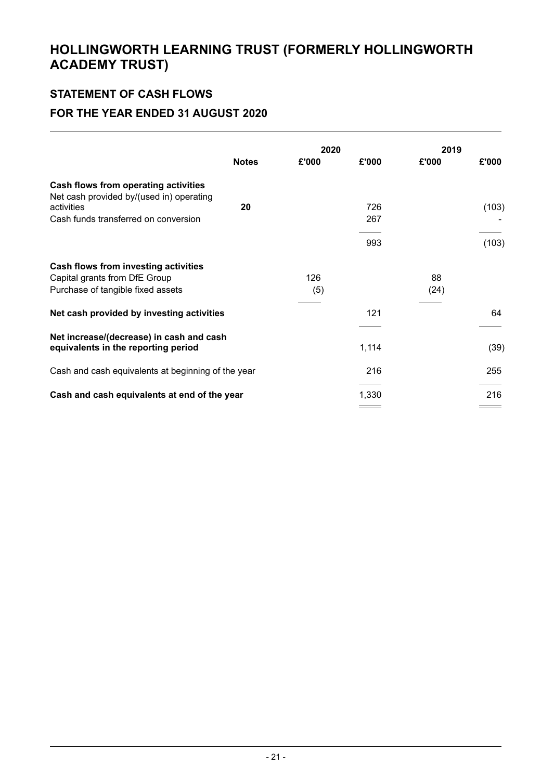## **STATEMENT OF CASH FLOWS**

### **FOR THE YEAR ENDED 31 AUGUST 2020**

|                                                                                  | 2020         |       |       | 2019  |       |
|----------------------------------------------------------------------------------|--------------|-------|-------|-------|-------|
|                                                                                  | <b>Notes</b> | £'000 | £'000 | £'000 | £'000 |
| Cash flows from operating activities<br>Net cash provided by/(used in) operating |              |       |       |       |       |
| activities                                                                       | 20           |       | 726   |       | (103) |
| Cash funds transferred on conversion                                             |              |       | 267   |       |       |
|                                                                                  |              |       | 993   |       | (103) |
| Cash flows from investing activities                                             |              |       |       |       |       |
| Capital grants from DfE Group                                                    |              | 126   |       | 88    |       |
| Purchase of tangible fixed assets                                                |              | (5)   |       | (24)  |       |
| Net cash provided by investing activities                                        |              |       | 121   |       | 64    |
| Net increase/(decrease) in cash and cash                                         |              |       |       |       |       |
| equivalents in the reporting period                                              |              |       | 1,114 |       | (39)  |
| Cash and cash equivalents at beginning of the year                               |              |       | 216   |       | 255   |
| Cash and cash equivalents at end of the year                                     |              |       | 1,330 |       | 216   |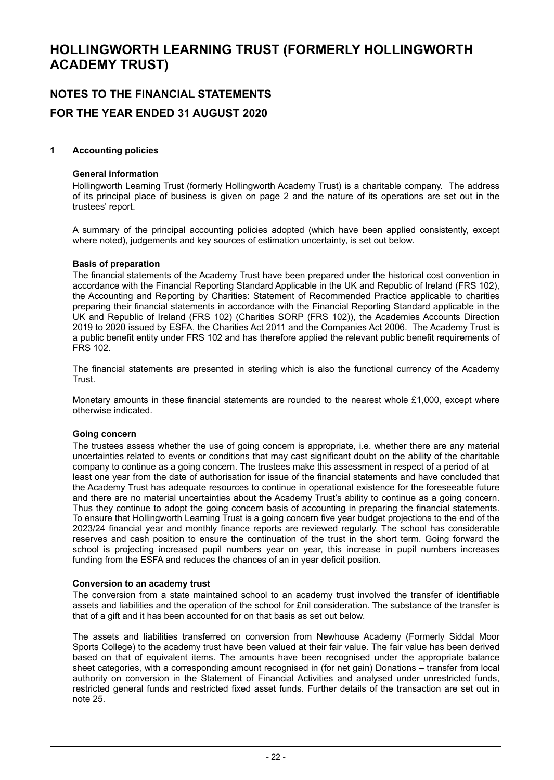# **NOTES TO THE FINANCIAL STATEMENTS FOR THE YEAR ENDED 31 AUGUST 2020**

#### **1 Accounting policies**

#### **General information**

Hollingworth Learning Trust (formerly Hollingworth Academy Trust) is a charitable company. The address of its principal place of business is given on page 2 and the nature of its operations are set out in the trustees' report.

A summary of the principal accounting policies adopted (which have been applied consistently, except where noted), judgements and key sources of estimation uncertainty, is set out below.

#### **Basis of preparation**

The financial statements of the Academy Trust have been prepared under the historical cost convention in accordance with the Financial Reporting Standard Applicable in the UK and Republic of Ireland (FRS 102), the Accounting and Reporting by Charities: Statement of Recommended Practice applicable to charities preparing their financial statements in accordance with the Financial Reporting Standard applicable in the UK and Republic of Ireland (FRS 102) (Charities SORP (FRS 102)), the Academies Accounts Direction 2019 to 2020 issued by ESFA, the Charities Act 2011 and the Companies Act 2006. The Academy Trust is a public benefit entity under FRS 102 and has therefore applied the relevant public benefit requirements of FRS 102.

The financial statements are presented in sterling which is also the functional currency of the Academy Trust.

Monetary amounts in these financial statements are rounded to the nearest whole £1,000, except where otherwise indicated.

#### **Going concern**

The trustees assess whether the use of going concern is appropriate, i.e. whether there are any material uncertainties related to events or conditions that may cast significant doubt on the ability of the charitable company to continue as a going concern. The trustees make this assessment in respect of a period of at least one year from the date of authorisation for issue of the financial statements and have concluded that the Academy Trust has adequate resources to continue in operational existence for the foreseeable future and there are no material uncertainties about the Academy Trust's ability to continue as a going concern. Thus they continue to adopt the going concern basis of accounting in preparing the financial statements. To ensure that Hollingworth Learning Trust is a going concern five year budget projections to the end of the 2023/24 financial year and monthly finance reports are reviewed regularly. The school has considerable reserves and cash position to ensure the continuation of the trust in the short term. Going forward the school is projecting increased pupil numbers year on year, this increase in pupil numbers increases funding from the ESFA and reduces the chances of an in year deficit position.

#### **Conversion to an academy trust**

The conversion from a state maintained school to an academy trust involved the transfer of identifiable assets and liabilities and the operation of the school for £nil consideration. The substance of the transfer is that of a gift and it has been accounted for on that basis as set out below.

The assets and liabilities transferred on conversion from Newhouse Academy (Formerly Siddal Moor Sports College) to the academy trust have been valued at their fair value. The fair value has been derived based on that of equivalent items. The amounts have been recognised under the appropriate balance sheet categories, with a corresponding amount recognised in (for net gain) Donations – transfer from local authority on conversion in the Statement of Financial Activities and analysed under unrestricted funds, restricted general funds and restricted fixed asset funds. Further details of the transaction are set out in note 25.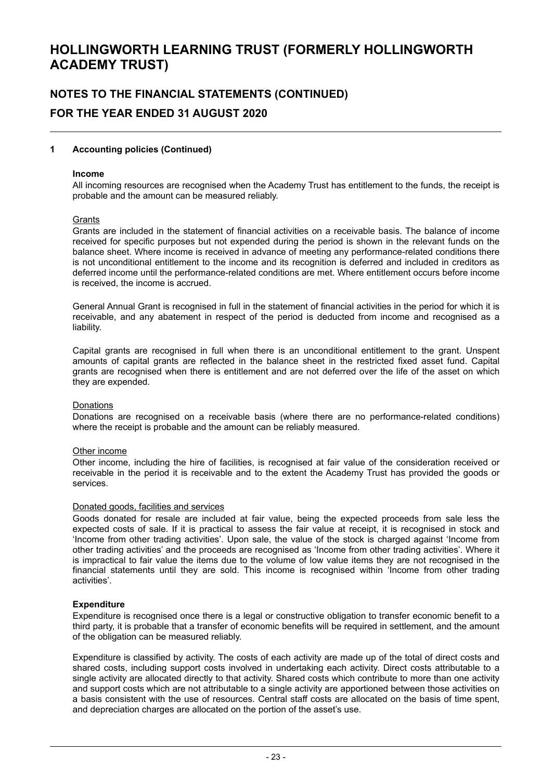# **NOTES TO THE FINANCIAL STATEMENTS (CONTINUED) FOR THE YEAR ENDED 31 AUGUST 2020**

#### **1 Accounting policies (Continued)**

#### **Income**

All incoming resources are recognised when the Academy Trust has entitlement to the funds, the receipt is probable and the amount can be measured reliably.

#### **Grants**

Grants are included in the statement of financial activities on a receivable basis. The balance of income received for specific purposes but not expended during the period is shown in the relevant funds on the balance sheet. Where income is received in advance of meeting any performance-related conditions there is not unconditional entitlement to the income and its recognition is deferred and included in creditors as deferred income until the performance-related conditions are met. Where entitlement occurs before income is received, the income is accrued.

General Annual Grant is recognised in full in the statement of financial activities in the period for which it is receivable, and any abatement in respect of the period is deducted from income and recognised as a liability.

Capital grants are recognised in full when there is an unconditional entitlement to the grant. Unspent amounts of capital grants are reflected in the balance sheet in the restricted fixed asset fund. Capital grants are recognised when there is entitlement and are not deferred over the life of the asset on which they are expended.

#### Donations

Donations are recognised on a receivable basis (where there are no performance-related conditions) where the receipt is probable and the amount can be reliably measured.

#### Other income

Other income, including the hire of facilities, is recognised at fair value of the consideration received or receivable in the period it is receivable and to the extent the Academy Trust has provided the goods or services.

#### Donated goods, facilities and services

Goods donated for resale are included at fair value, being the expected proceeds from sale less the expected costs of sale. If it is practical to assess the fair value at receipt, it is recognised in stock and 'Income from other trading activities'. Upon sale, the value of the stock is charged against 'Income from other trading activities' and the proceeds are recognised as 'Income from other trading activities'. Where it is impractical to fair value the items due to the volume of low value items they are not recognised in the financial statements until they are sold. This income is recognised within 'Income from other trading activities'.

#### **Expenditure**

Expenditure is recognised once there is a legal or constructive obligation to transfer economic benefit to a third party, it is probable that a transfer of economic benefits will be required in settlement, and the amount of the obligation can be measured reliably.

Expenditure is classified by activity. The costs of each activity are made up of the total of direct costs and shared costs, including support costs involved in undertaking each activity. Direct costs attributable to a single activity are allocated directly to that activity. Shared costs which contribute to more than one activity and support costs which are not attributable to a single activity are apportioned between those activities on a basis consistent with the use of resources. Central staff costs are allocated on the basis of time spent, and depreciation charges are allocated on the portion of the asset's use.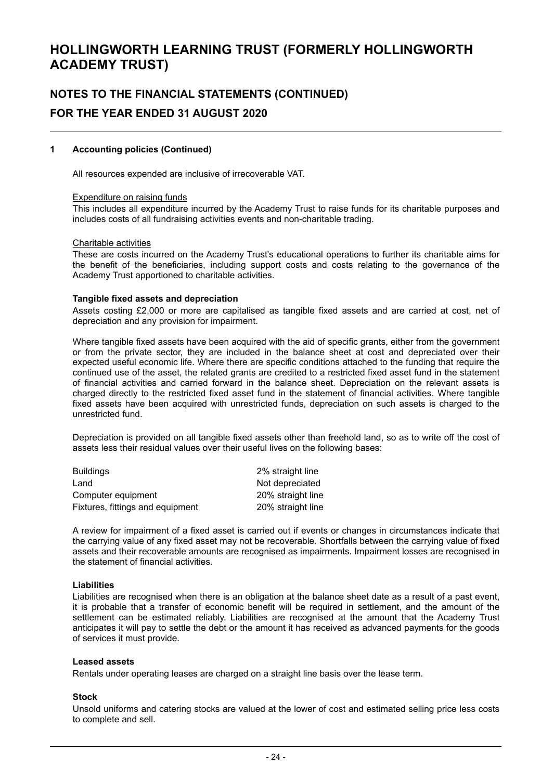# **NOTES TO THE FINANCIAL STATEMENTS (CONTINUED) FOR THE YEAR ENDED 31 AUGUST 2020**

#### **1 Accounting policies (Continued)**

All resources expended are inclusive of irrecoverable VAT.

#### Expenditure on raising funds

This includes all expenditure incurred by the Academy Trust to raise funds for its charitable purposes and includes costs of all fundraising activities events and non-charitable trading.

#### Charitable activities

These are costs incurred on the Academy Trust's educational operations to further its charitable aims for the benefit of the beneficiaries, including support costs and costs relating to the governance of the Academy Trust apportioned to charitable activities.

#### **Tangible fixed assets and depreciation**

Assets costing £2,000 or more are capitalised as tangible fixed assets and are carried at cost, net of depreciation and any provision for impairment.

Where tangible fixed assets have been acquired with the aid of specific grants, either from the government or from the private sector, they are included in the balance sheet at cost and depreciated over their expected useful economic life. Where there are specific conditions attached to the funding that require the continued use of the asset, the related grants are credited to a restricted fixed asset fund in the statement of financial activities and carried forward in the balance sheet. Depreciation on the relevant assets is charged directly to the restricted fixed asset fund in the statement of financial activities. Where tangible fixed assets have been acquired with unrestricted funds, depreciation on such assets is charged to the unrestricted fund.

Depreciation is provided on all tangible fixed assets other than freehold land, so as to write off the cost of assets less their residual values over their useful lives on the following bases:

| <b>Buildings</b>                 | 2% straight line  |
|----------------------------------|-------------------|
| Land                             | Not depreciated   |
| Computer equipment               | 20% straight line |
| Fixtures, fittings and equipment | 20% straight line |
|                                  |                   |

A review for impairment of a fixed asset is carried out if events or changes in circumstances indicate that the carrying value of any fixed asset may not be recoverable. Shortfalls between the carrying value of fixed assets and their recoverable amounts are recognised as impairments. Impairment losses are recognised in the statement of financial activities.

#### **Liabilities**

Liabilities are recognised when there is an obligation at the balance sheet date as a result of a past event, it is probable that a transfer of economic benefit will be required in settlement, and the amount of the settlement can be estimated reliably. Liabilities are recognised at the amount that the Academy Trust anticipates it will pay to settle the debt or the amount it has received as advanced payments for the goods of services it must provide.

#### **Leased assets**

Rentals under operating leases are charged on a straight line basis over the lease term.

#### **Stock**

Unsold uniforms and catering stocks are valued at the lower of cost and estimated selling price less costs to complete and sell.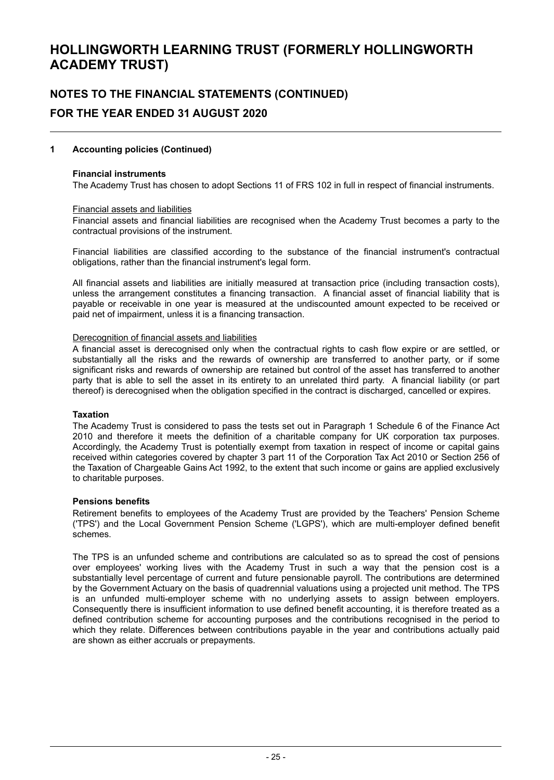# **NOTES TO THE FINANCIAL STATEMENTS (CONTINUED) FOR THE YEAR ENDED 31 AUGUST 2020**

#### **1 Accounting policies (Continued)**

#### **Financial instruments**

The Academy Trust has chosen to adopt Sections 11 of FRS 102 in full in respect of financial instruments.

#### Financial assets and liabilities

Financial assets and financial liabilities are recognised when the Academy Trust becomes a party to the contractual provisions of the instrument.

Financial liabilities are classified according to the substance of the financial instrument's contractual obligations, rather than the financial instrument's legal form.

All financial assets and liabilities are initially measured at transaction price (including transaction costs), unless the arrangement constitutes a financing transaction. A financial asset of financial liability that is payable or receivable in one year is measured at the undiscounted amount expected to be received or paid net of impairment, unless it is a financing transaction.

#### Derecognition of financial assets and liabilities

A financial asset is derecognised only when the contractual rights to cash flow expire or are settled, or substantially all the risks and the rewards of ownership are transferred to another party, or if some significant risks and rewards of ownership are retained but control of the asset has transferred to another party that is able to sell the asset in its entirety to an unrelated third party. A financial liability (or part thereof) is derecognised when the obligation specified in the contract is discharged, cancelled or expires.

#### **Taxation**

The Academy Trust is considered to pass the tests set out in Paragraph 1 Schedule 6 of the Finance Act 2010 and therefore it meets the definition of a charitable company for UK corporation tax purposes. Accordingly, the Academy Trust is potentially exempt from taxation in respect of income or capital gains received within categories covered by chapter 3 part 11 of the Corporation Tax Act 2010 or Section 256 of the Taxation of Chargeable Gains Act 1992, to the extent that such income or gains are applied exclusively to charitable purposes.

#### **Pensions benefits**

Retirement benefits to employees of the Academy Trust are provided by the Teachers' Pension Scheme ('TPS') and the Local Government Pension Scheme ('LGPS'), which are multi-employer defined benefit schemes.

The TPS is an unfunded scheme and contributions are calculated so as to spread the cost of pensions over employees' working lives with the Academy Trust in such a way that the pension cost is a substantially level percentage of current and future pensionable payroll. The contributions are determined by the Government Actuary on the basis of quadrennial valuations using a projected unit method. The TPS is an unfunded multi-employer scheme with no underlying assets to assign between employers. Consequently there is insufficient information to use defined benefit accounting, it is therefore treated as a defined contribution scheme for accounting purposes and the contributions recognised in the period to which they relate. Differences between contributions payable in the year and contributions actually paid are shown as either accruals or prepayments.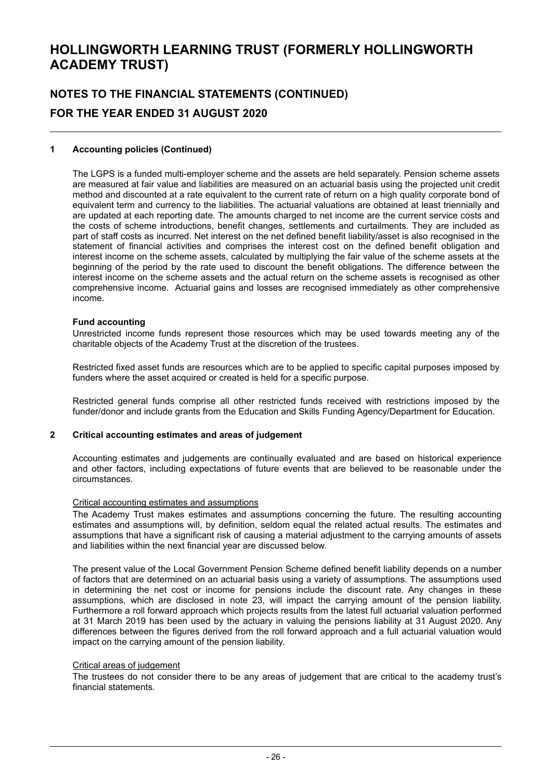# **NOTES TO THE FINANCIAL STATEMENTS (CONTINUED) FOR THE YEAR ENDED 31 AUGUST 2020**

#### **1 Accounting policies (Continued)**

The LGPS is a funded multi-employer scheme and the assets are held separately. Pension scheme assets are measured at fair value and liabilities are measured on an actuarial basis using the projected unit credit method and discounted at a rate equivalent to the current rate of return on a high quality corporate bond of equivalent term and currency to the liabilities. The actuarial valuations are obtained at least triennially and are updated at each reporting date. The amounts charged to net income are the current service costs and the costs of scheme introductions, benefit changes, settlements and curtailments. They are included as part of staff costs as incurred. Net interest on the net defined benefit liability/asset is also recognised in the statement of financial activities and comprises the interest cost on the defined benefit obligation and interest income on the scheme assets, calculated by multiplying the fair value of the scheme assets at the beginning of the period by the rate used to discount the benefit obligations. The difference between the interest income on the scheme assets and the actual return on the scheme assets is recognised as other comprehensive income. Actuarial gains and losses are recognised immediately as other comprehensive income.

#### **Fund accounting**

Unrestricted income funds represent those resources which may be used towards meeting any of the charitable objects of the Academy Trust at the discretion of the trustees.

Restricted fixed asset funds are resources which are to be applied to specific capital purposes imposed by funders where the asset acquired or created is held for a specific purpose.

Restricted general funds comprise all other restricted funds received with restrictions imposed by the funder/donor and include grants from the Education and Skills Funding Agency/Department for Education.

#### **2 Critical accounting estimates and areas of judgement**

Accounting estimates and judgements are continually evaluated and are based on historical experience and other factors, including expectations of future events that are believed to be reasonable under the circumstances.

#### Critical accounting estimates and assumptions

The Academy Trust makes estimates and assumptions concerning the future. The resulting accounting estimates and assumptions will, by definition, seldom equal the related actual results. The estimates and assumptions that have a significant risk of causing a material adjustment to the carrying amounts of assets and liabilities within the next financial year are discussed below.

The present value of the Local Government Pension Scheme defined benefit liability depends on a number of factors that are determined on an actuarial basis using a variety of assumptions. The assumptions used in determining the net cost or income for pensions include the discount rate. Any changes in these assumptions, which are disclosed in note 23, will impact the carrying amount of the pension liability. Furthermore a roll forward approach which projects results from the latest full actuarial valuation performed at 31 March 2019 has been used by the actuary in valuing the pensions liability at 31 August 2020. Any differences between the figures derived from the roll forward approach and a full actuarial valuation would impact on the carrying amount of the pension liability.

#### Critical areas of judgement

The trustees do not consider there to be any areas of judgement that are critical to the academy trust's financial statements.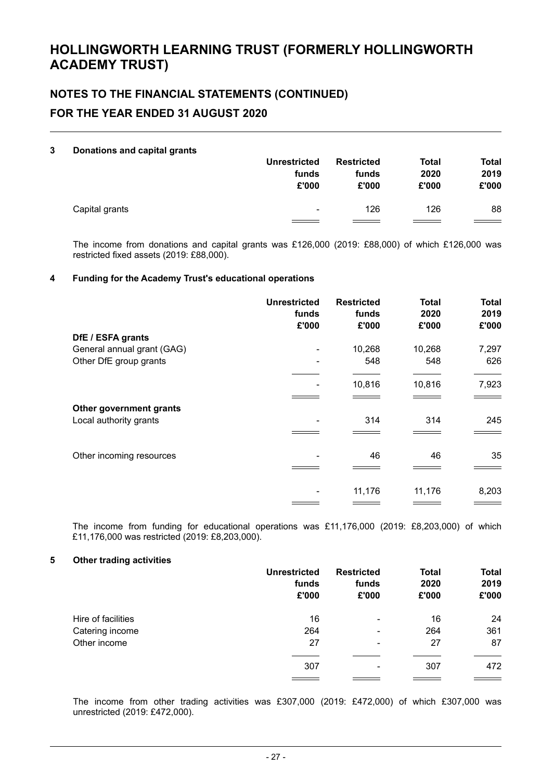# **NOTES TO THE FINANCIAL STATEMENTS (CONTINUED) FOR THE YEAR ENDED 31 AUGUST 2020**

#### **3 Donations and capital grants**

|                | <b>Unrestricted</b> | <b>Restricted</b> | <b>Total</b> | <b>Total</b> |
|----------------|---------------------|-------------------|--------------|--------------|
|                | funds               | funds             | 2020         | 2019         |
|                | £'000               | £'000             | £'000        | £'000        |
| Capital grants | ٠                   | 126               | 126          | 88           |

The income from donations and capital grants was £126,000 (2019: £88,000) of which £126,000 was restricted fixed assets (2019: £88,000).

#### **4 Funding for the Academy Trust's educational operations**

|                            | <b>Unrestricted</b><br>funds<br>£'000 | <b>Restricted</b><br>funds<br>£'000 | <b>Total</b><br>2020<br>£'000 | <b>Total</b><br>2019<br>£'000 |
|----------------------------|---------------------------------------|-------------------------------------|-------------------------------|-------------------------------|
| DfE / ESFA grants          |                                       |                                     |                               |                               |
| General annual grant (GAG) |                                       | 10,268                              | 10,268                        | 7,297                         |
| Other DfE group grants     |                                       | 548                                 | 548                           | 626                           |
|                            |                                       |                                     |                               |                               |
|                            |                                       | 10,816                              | 10,816                        | 7,923                         |
|                            |                                       |                                     |                               |                               |
| Other government grants    |                                       |                                     |                               |                               |
| Local authority grants     |                                       | 314                                 | 314                           | 245                           |
|                            |                                       |                                     |                               |                               |
| Other incoming resources   |                                       | 46                                  | 46                            | 35                            |
|                            |                                       |                                     |                               |                               |
|                            |                                       | 11,176                              | 11,176                        | 8,203                         |
|                            |                                       |                                     |                               |                               |

The income from funding for educational operations was £11,176,000 (2019: £8,203,000) of which £11,176,000 was restricted (2019: £8,203,000).

#### **5 Other trading activities**

|                    | <b>Unrestricted</b><br>funds<br>£'000 | <b>Restricted</b><br>funds<br>£'000 | <b>Total</b><br>2020<br>£'000 | <b>Total</b><br>2019<br>£'000 |
|--------------------|---------------------------------------|-------------------------------------|-------------------------------|-------------------------------|
| Hire of facilities | 16                                    | $\overline{\phantom{0}}$            | 16                            | 24                            |
| Catering income    | 264                                   | ۰                                   | 264                           | 361                           |
| Other income       | 27                                    | $\overline{\phantom{0}}$            | 27                            | 87                            |
|                    | 307                                   | ۰                                   | 307                           | 472                           |

The income from other trading activities was £307,000 (2019: £472,000) of which £307,000 was unrestricted (2019: £472,000).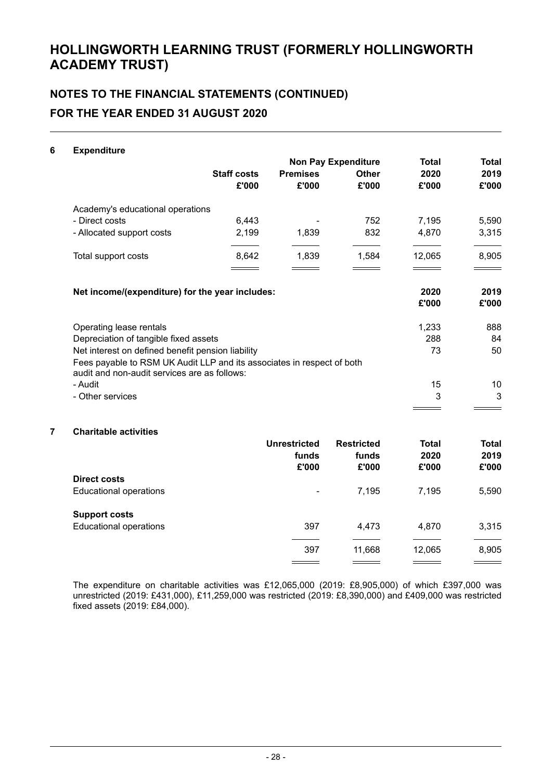# **NOTES TO THE FINANCIAL STATEMENTS (CONTINUED) FOR THE YEAR ENDED 31 AUGUST 2020**

#### **6 Expenditure**

|                                                                                                                        |                    | <b>Non Pay Expenditure</b> |              | <b>Total</b>  | Total         |
|------------------------------------------------------------------------------------------------------------------------|--------------------|----------------------------|--------------|---------------|---------------|
|                                                                                                                        | <b>Staff costs</b> | <b>Premises</b>            | <b>Other</b> | 2020          | 2019          |
|                                                                                                                        | £'000              | £'000                      | £'000        | £'000         | £'000         |
| Academy's educational operations                                                                                       |                    |                            |              |               |               |
| - Direct costs                                                                                                         | 6,443              |                            | 752          | 7,195         | 5,590         |
| - Allocated support costs                                                                                              | 2,199              | 1,839                      | 832          | 4,870         | 3,315         |
| Total support costs                                                                                                    | 8,642              | 1,839                      | 1,584        | 12,065        | 8,905         |
| Net income/(expenditure) for the year includes:                                                                        |                    |                            |              | 2020<br>£'000 | 2019<br>£'000 |
| Operating lease rentals                                                                                                |                    |                            |              | 1,233         | 888           |
| Depreciation of tangible fixed assets                                                                                  |                    |                            |              | 288           | 84            |
| Net interest on defined benefit pension liability                                                                      |                    |                            |              | 73            | 50            |
| Fees payable to RSM UK Audit LLP and its associates in respect of both<br>audit and non-audit services are as follows: |                    |                            |              |               |               |
| - Audit                                                                                                                |                    |                            |              | 15            | 10            |
| - Other services                                                                                                       |                    |                            |              | 3             | 3             |
|                                                                                                                        |                    |                            |              |               |               |

#### **7 Charitable activities**

|                               | <b>Unrestricted</b><br>funds<br>£'000 | <b>Restricted</b><br>funds<br>£'000 | <b>Total</b><br>2020<br>£'000 | <b>Total</b><br>2019<br>£'000 |
|-------------------------------|---------------------------------------|-------------------------------------|-------------------------------|-------------------------------|
| <b>Direct costs</b>           |                                       |                                     |                               |                               |
| <b>Educational operations</b> | $\overline{\phantom{a}}$              | 7.195                               | 7,195                         | 5,590                         |
| <b>Support costs</b>          |                                       |                                     |                               |                               |
| <b>Educational operations</b> | 397                                   | 4.473                               | 4,870                         | 3,315                         |
|                               | 397                                   | 11,668                              | 12,065                        | 8,905                         |

The expenditure on charitable activities was £12,065,000 (2019: £8,905,000) of which £397,000 was unrestricted (2019: £431,000), £11,259,000 was restricted (2019: £8,390,000) and £409,000 was restricted fixed assets (2019: £84,000).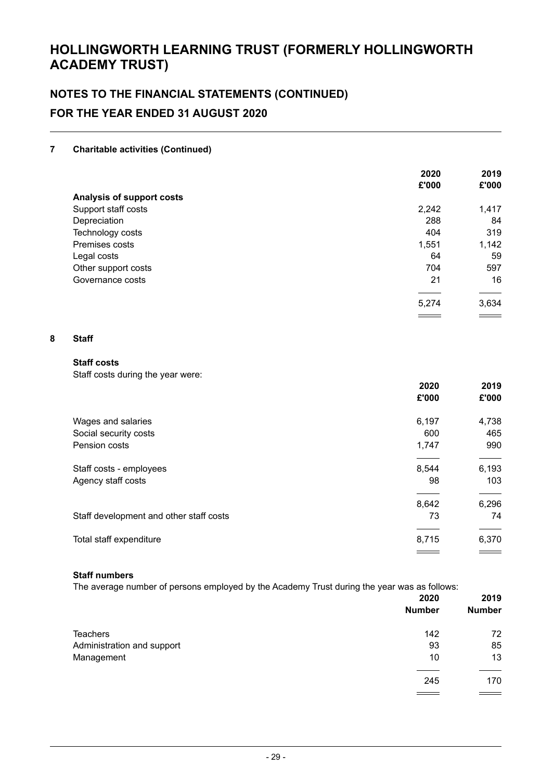# **NOTES TO THE FINANCIAL STATEMENTS (CONTINUED) FOR THE YEAR ENDED 31 AUGUST 2020**

#### **7 Charitable activities (Continued)**

|                           | 2020  | 2019  |
|---------------------------|-------|-------|
|                           | £'000 | £'000 |
| Analysis of support costs |       |       |
| Support staff costs       | 2,242 | 1,417 |
| Depreciation              | 288   | 84    |
| Technology costs          | 404   | 319   |
| Premises costs            | 1,551 | 1,142 |
| Legal costs               | 64    | 59    |
| Other support costs       | 704   | 597   |
| Governance costs          | 21    | 16    |
|                           |       |       |
|                           | 5,274 | 3,634 |

#### **8 Staff**

#### **Staff costs**

Staff costs during the year were:

|                                         | 2020<br>£'000 | 2019<br>£'000 |
|-----------------------------------------|---------------|---------------|
| Wages and salaries                      | 6,197         | 4,738         |
| Social security costs                   | 600           | 465           |
| Pension costs                           | 1,747         | 990           |
| Staff costs - employees                 | 8,544         | 6,193         |
| Agency staff costs                      | 98            | 103           |
|                                         | 8,642         | 6,296         |
| Staff development and other staff costs | 73            | 74            |
|                                         |               |               |
| Total staff expenditure                 | 8,715         | 6,370         |
|                                         |               |               |

#### **Staff numbers**

The average number of persons employed by the Academy Trust during the year was as follows:

|                            | 2020          | 2019          |  |
|----------------------------|---------------|---------------|--|
|                            | <b>Number</b> | <b>Number</b> |  |
| Teachers                   | 142           | 72            |  |
| Administration and support | 93            | 85            |  |
| Management                 | 10            | 13            |  |
|                            | 245           | 170           |  |
|                            |               |               |  |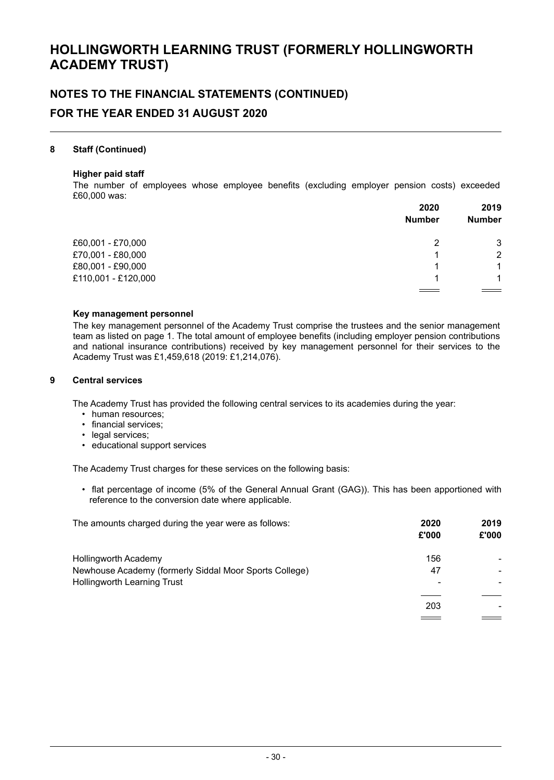# **NOTES TO THE FINANCIAL STATEMENTS (CONTINUED) FOR THE YEAR ENDED 31 AUGUST 2020**

#### **8 Staff (Continued)**

#### **Higher paid staff**

The number of employees whose employee benefits (excluding employer pension costs) exceeded £60,000 was:

|                     | 2020          | 2019<br><b>Number</b> |
|---------------------|---------------|-----------------------|
|                     | <b>Number</b> |                       |
| £60,001 - £70,000   | 2             | 3                     |
| £70,001 - £80,000   |               | 2                     |
| £80,001 - £90,000   | 1             | 1                     |
| £110,001 - £120,000 |               | 1                     |
|                     |               |                       |

#### **Key management personnel**

The key management personnel of the Academy Trust comprise the trustees and the senior management team as listed on page 1. The total amount of employee benefits (including employer pension contributions and national insurance contributions) received by key management personnel for their services to the Academy Trust was £1,459,618 (2019: £1,214,076).

#### **9 Central services**

The Academy Trust has provided the following central services to its academies during the year:

- human resources:
- financial services;
- legal services;
- educational support services

The Academy Trust charges for these services on the following basis:

• flat percentage of income (5% of the General Annual Grant (GAG)). This has been apportioned with reference to the conversion date where applicable.

| The amounts charged during the year were as follows:   | 2020<br>£'000 | 2019<br>£'000 |
|--------------------------------------------------------|---------------|---------------|
| Hollingworth Academy                                   | 156           |               |
| Newhouse Academy (formerly Siddal Moor Sports College) | 47            |               |
| <b>Hollingworth Learning Trust</b>                     |               |               |
|                                                        | 203           |               |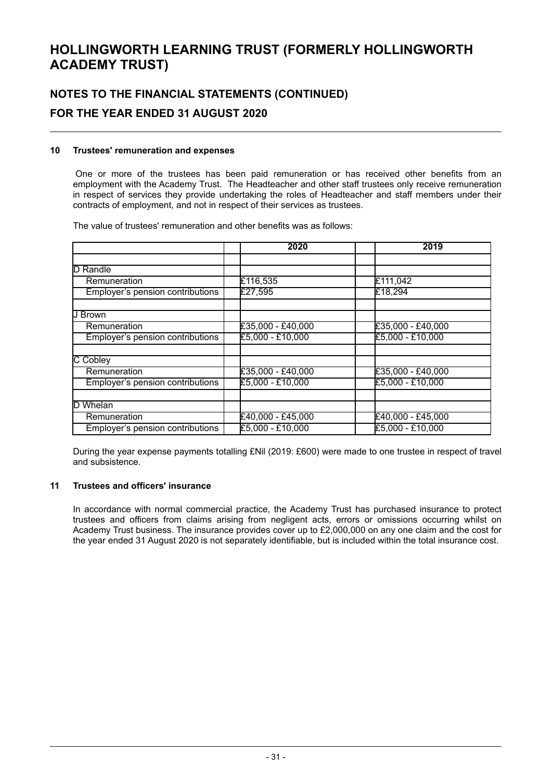# **NOTES TO THE FINANCIAL STATEMENTS (CONTINUED) FOR THE YEAR ENDED 31 AUGUST 2020**

#### **10 Trustees' remuneration and expenses**

One or more of the trustees has been paid remuneration or has received other benefits from an employment with the Academy Trust. The Headteacher and other staff trustees only receive remuneration in respect of services they provide undertaking the roles of Headteacher and staff members under their contracts of employment, and not in respect of their services as trustees.

The value of trustees' remuneration and other benefits was as follows:

|                                  | 2020                | 2019                |
|----------------------------------|---------------------|---------------------|
|                                  |                     |                     |
| D<br>Randle                      |                     |                     |
| Remuneration                     | £116,535            | £111,042            |
| Employer's pension contributions | £27,595             | £18,294             |
|                                  |                     |                     |
| U Brown                          |                     |                     |
| Remuneration                     | $£35,000 - £40,000$ | $£35,000 - £40,000$ |
| Employer's pension contributions | £5,000 - £10,000    | £5,000 - £10,000    |
|                                  |                     |                     |
| <b>C</b> Cobley                  |                     |                     |
| Remuneration                     | $£35,000 - £40,000$ | $£35,000 - £40,000$ |
| Employer's pension contributions | £5,000 - £10,000    | £5,000 - £10,000    |
|                                  |                     |                     |
| D Whelan                         |                     |                     |
| Remuneration                     | £40,000 - £45,000   | £40,000 - £45,000   |
| Employer's pension contributions | £5,000 - £10,000    | £5,000 - £10,000    |

During the year expense payments totalling £Nil (2019: £600) were made to one trustee in respect of travel and subsistence.

#### **11 Trustees and officers' insurance**

In accordance with normal commercial practice, the Academy Trust has purchased insurance to protect trustees and officers from claims arising from negligent acts, errors or omissions occurring whilst on Academy Trust business. The insurance provides cover up to £2,000,000 on any one claim and the cost for the year ended 31 August 2020 is not separately identifiable, but is included within the total insurance cost.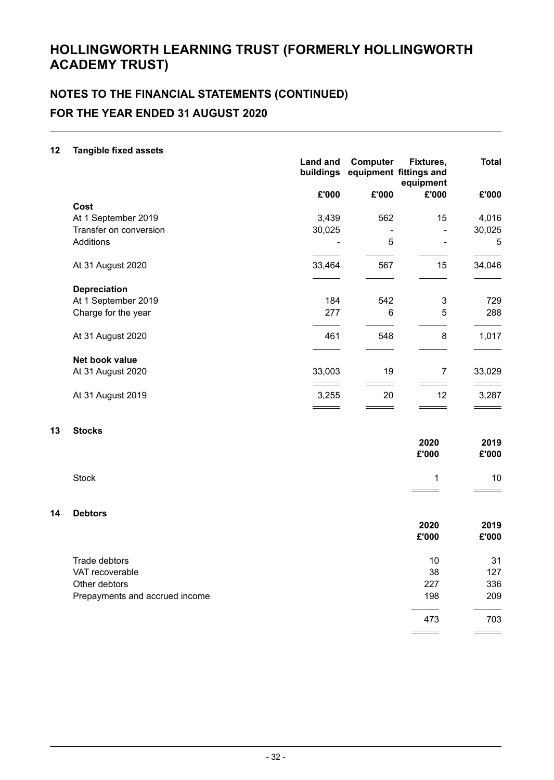# **NOTES TO THE FINANCIAL STATEMENTS (CONTINUED) FOR THE YEAR ENDED 31 AUGUST 2020**

#### **12 Tangible fixed assets**

**13 Stocks**

**14 Debtors**

|                                | <b>Land and</b><br>buildings | Computer | Fixtures,<br>equipment fittings and<br>equipment | <b>Total</b>  |
|--------------------------------|------------------------------|----------|--------------------------------------------------|---------------|
|                                | £'000                        | £'000    | £'000                                            | £'000         |
| Cost                           |                              |          |                                                  |               |
| At 1 September 2019            | 3,439                        | 562      | 15                                               | 4,016         |
| Transfer on conversion         | 30,025                       |          | ÷,                                               | 30,025        |
| Additions                      |                              | 5        | ä,                                               | 5             |
| At 31 August 2020              | 33,464                       | 567      | 15                                               | 34,046        |
| <b>Depreciation</b>            |                              |          |                                                  |               |
| At 1 September 2019            | 184                          | 542      | 3                                                | 729           |
| Charge for the year            | 277                          | 6        | 5                                                | 288           |
| At 31 August 2020              | 461                          | 548      | 8                                                | 1,017         |
| Net book value                 |                              |          |                                                  |               |
| At 31 August 2020              | 33,003                       | 19       | $\overline{7}$                                   | 33,029        |
| At 31 August 2019              | 3,255                        | 20       | 12                                               | 3,287         |
|                                |                              |          |                                                  |               |
| <b>Stocks</b>                  |                              |          |                                                  |               |
|                                |                              |          | 2020<br>£'000                                    | 2019<br>£'000 |
| <b>Stock</b>                   |                              |          | 1                                                | 10            |
| <b>Debtors</b>                 |                              |          |                                                  |               |
|                                |                              |          | 2020<br>£'000                                    | 2019<br>£'000 |
|                                |                              |          |                                                  |               |
| Trade debtors                  |                              |          | 10                                               | 31            |
| VAT recoverable                |                              |          | 38                                               | 127           |
| Other debtors                  |                              |          | 227                                              | 336           |
| Prepayments and accrued income |                              |          | 198                                              | 209           |

473 703

 $\equiv$ 

 $\equiv$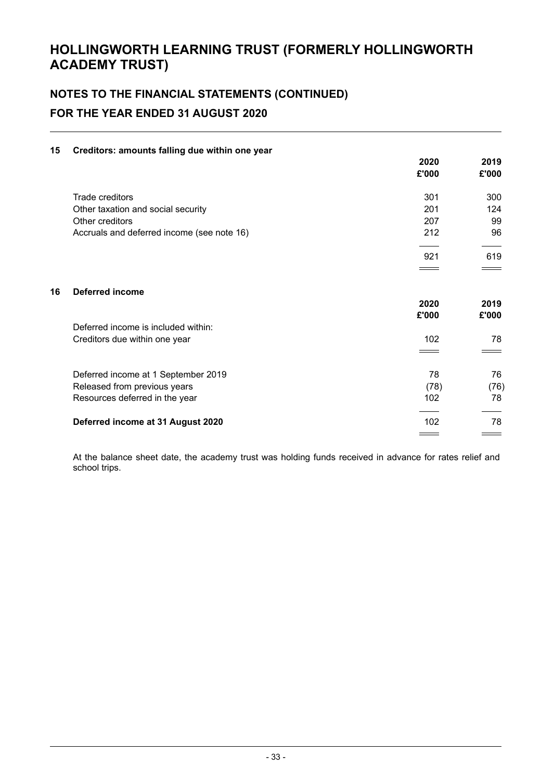# **NOTES TO THE FINANCIAL STATEMENTS (CONTINUED) FOR THE YEAR ENDED 31 AUGUST 2020**

#### **15 Creditors: amounts falling due within one year**

|    |                                            | 2020<br>£'000 | 2019<br>£'000 |
|----|--------------------------------------------|---------------|---------------|
|    | Trade creditors                            | 301           | 300           |
|    | Other taxation and social security         | 201           | 124           |
|    | Other creditors                            | 207           | 99            |
|    | Accruals and deferred income (see note 16) | 212           | 96            |
|    |                                            | 921           | 619           |
|    |                                            |               |               |
| 16 | <b>Deferred income</b>                     |               |               |
|    |                                            | 2020          | 2019          |
|    |                                            | £'000         | £'000         |
|    | Deferred income is included within:        |               |               |
|    | Creditors due within one year              | 102           | 78            |
|    |                                            |               |               |
|    | Deferred income at 1 September 2019        | 78            | 76            |
|    | Released from previous years               | (78)          | (76)          |
|    | Resources deferred in the year             | 102           | 78            |
|    | Deferred income at 31 August 2020          | 102           | 78            |
|    |                                            |               |               |

At the balance sheet date, the academy trust was holding funds received in advance for rates relief and school trips.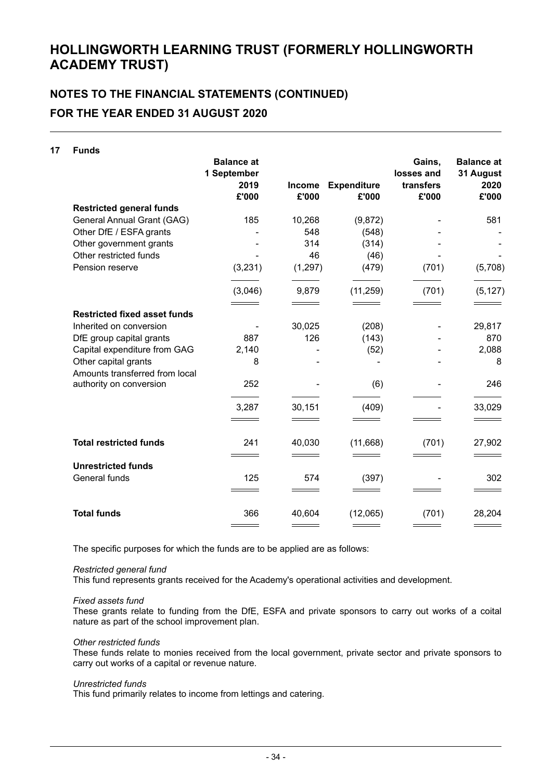# **NOTES TO THE FINANCIAL STATEMENTS (CONTINUED) FOR THE YEAR ENDED 31 AUGUST 2020**

| 17 | <b>Funds</b>                        |                                  |                        |                             |                      |                                |
|----|-------------------------------------|----------------------------------|------------------------|-----------------------------|----------------------|--------------------------------|
|    |                                     | <b>Balance at</b><br>1 September |                        |                             | Gains,<br>losses and | <b>Balance at</b><br>31 August |
|    |                                     | 2019<br>£'000                    | <b>Income</b><br>£'000 | <b>Expenditure</b><br>£'000 | transfers<br>£'000   | 2020<br>£'000                  |
|    | <b>Restricted general funds</b>     |                                  |                        |                             |                      |                                |
|    | General Annual Grant (GAG)          | 185                              | 10,268                 | (9,872)                     |                      | 581                            |
|    | Other DfE / ESFA grants             |                                  | 548                    | (548)                       |                      |                                |
|    | Other government grants             |                                  | 314                    | (314)                       |                      |                                |
|    | Other restricted funds              |                                  | 46                     | (46)                        |                      |                                |
|    | Pension reserve                     | (3, 231)                         | (1, 297)               | (479)                       | (701)                | (5,708)                        |
|    |                                     | (3,046)                          | 9,879                  | (11, 259)                   | (701)                | (5, 127)                       |
|    | <b>Restricted fixed asset funds</b> |                                  |                        |                             |                      |                                |
|    | Inherited on conversion             |                                  | 30,025                 | (208)                       |                      | 29,817                         |
|    | DfE group capital grants            | 887                              | 126                    | (143)                       |                      | 870                            |
|    | Capital expenditure from GAG        | 2,140                            |                        | (52)                        |                      | 2,088                          |
|    | Other capital grants                | 8                                |                        |                             |                      | 8                              |
|    | Amounts transferred from local      |                                  |                        |                             |                      |                                |
|    | authority on conversion             | 252                              |                        | (6)                         |                      | 246                            |
|    |                                     | 3,287                            | 30,151                 | (409)                       |                      | 33,029                         |
|    |                                     |                                  |                        |                             |                      |                                |
|    | <b>Total restricted funds</b>       | 241                              | 40,030                 | (11,668)                    | (701)                | 27,902                         |
|    | <b>Unrestricted funds</b>           |                                  |                        |                             |                      |                                |
|    | General funds                       | 125                              | 574                    | (397)                       |                      | 302                            |
|    |                                     |                                  |                        |                             |                      |                                |
|    | <b>Total funds</b>                  | 366                              | 40,604                 | (12,065)                    | (701)                | 28,204                         |
|    |                                     |                                  |                        |                             |                      |                                |

The specific purposes for which the funds are to be applied are as follows:

#### *Restricted general fund*

This fund represents grants received for the Academy's operational activities and development.

#### *Fixed assets fund*

These grants relate to funding from the DfE, ESFA and private sponsors to carry out works of a coital nature as part of the school improvement plan.

#### *Other restricted funds*

These funds relate to monies received from the local government, private sector and private sponsors to carry out works of a capital or revenue nature.

#### *Unrestricted funds*

This fund primarily relates to income from lettings and catering.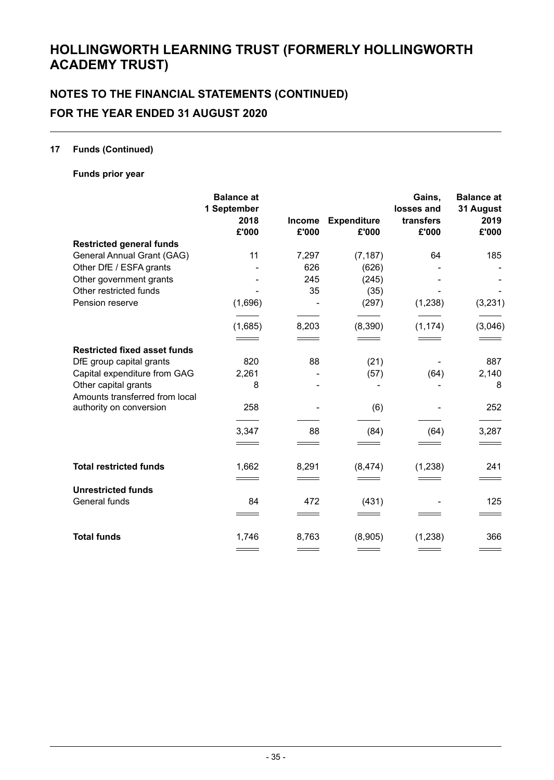# **NOTES TO THE FINANCIAL STATEMENTS (CONTINUED) FOR THE YEAR ENDED 31 AUGUST 2020**

#### **17 Funds (Continued)**

**Funds prior year**

|                                                        | <b>Balance</b> at<br>1 September |                        |                             | Gains,<br>losses and | <b>Balance</b> at<br>31 August |
|--------------------------------------------------------|----------------------------------|------------------------|-----------------------------|----------------------|--------------------------------|
|                                                        | 2018<br>£'000                    | <b>Income</b><br>£'000 | <b>Expenditure</b><br>£'000 | transfers<br>£'000   | 2019<br>£'000                  |
| <b>Restricted general funds</b>                        |                                  |                        |                             |                      |                                |
| General Annual Grant (GAG)                             | 11                               | 7,297                  | (7, 187)                    | 64                   | 185                            |
| Other DfE / ESFA grants                                |                                  | 626                    | (626)                       |                      |                                |
| Other government grants                                |                                  | 245                    | (245)                       |                      |                                |
| Other restricted funds                                 |                                  | 35                     | (35)                        |                      |                                |
| Pension reserve                                        | (1,696)                          |                        | (297)                       | (1, 238)             | (3, 231)                       |
|                                                        | (1,685)                          | 8,203                  | (8,390)                     | (1, 174)             | (3,046)                        |
| <b>Restricted fixed asset funds</b>                    |                                  |                        |                             |                      |                                |
| DfE group capital grants                               | 820                              | 88                     | (21)                        |                      | 887                            |
| Capital expenditure from GAG                           | 2,261                            |                        | (57)                        | (64)                 | 2,140                          |
| Other capital grants<br>Amounts transferred from local | 8                                |                        |                             |                      | 8                              |
| authority on conversion                                | 258                              |                        | (6)                         |                      | 252                            |
|                                                        | 3,347                            | 88                     | (84)                        | (64)                 | 3,287                          |
|                                                        |                                  |                        |                             |                      |                                |
| <b>Total restricted funds</b>                          | 1,662                            | 8,291                  | (8, 474)                    | (1, 238)             | 241                            |
|                                                        |                                  |                        |                             |                      |                                |
| <b>Unrestricted funds</b>                              |                                  |                        |                             |                      |                                |
| General funds                                          | 84                               | 472                    | (431)                       |                      | 125                            |
|                                                        |                                  |                        |                             |                      |                                |
| <b>Total funds</b>                                     | 1,746                            | 8,763                  | (8,905)                     | (1,238)              | 366                            |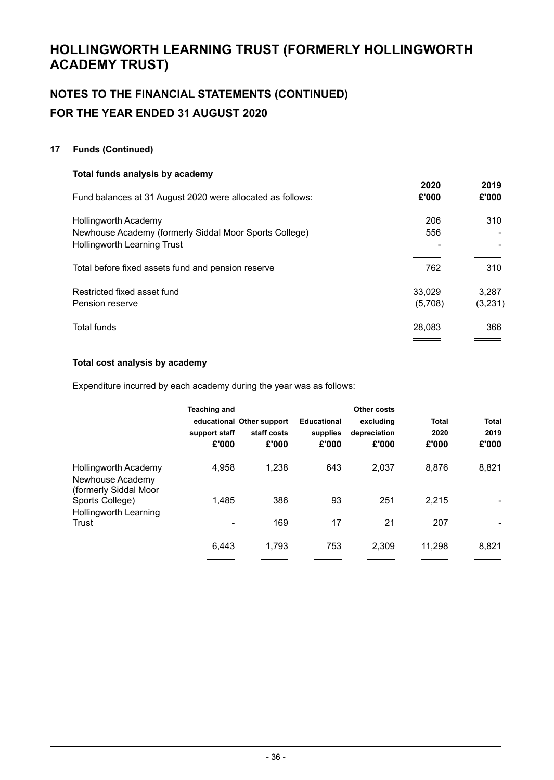# **NOTES TO THE FINANCIAL STATEMENTS (CONTINUED) FOR THE YEAR ENDED 31 AUGUST 2020**

#### **17 Funds (Continued)**

| Total funds analysis by academy                            |         |         |
|------------------------------------------------------------|---------|---------|
|                                                            | 2020    | 2019    |
| Fund balances at 31 August 2020 were allocated as follows: | £'000   | £'000   |
| <b>Hollingworth Academy</b>                                | 206     | 310     |
| Newhouse Academy (formerly Siddal Moor Sports College)     | 556     |         |
| <b>Hollingworth Learning Trust</b>                         |         |         |
| Total before fixed assets fund and pension reserve         | 762     | 310     |
| Restricted fixed asset fund                                | 33.029  | 3,287   |
| Pension reserve                                            | (5,708) | (3,231) |
| Total funds                                                | 28,083  | 366     |
|                                                            |         |         |

#### **Total cost analysis by academy**

Expenditure incurred by each academy during the year was as follows:

|                                                                   | <b>Teaching and</b><br>support staff<br>£'000 | educational Other support<br>staff costs<br>£'000 | <b>Educational</b><br>supplies<br>£'000 | <b>Other costs</b><br>excluding<br>depreciation<br>£'000 | <b>Total</b><br>2020<br>£'000 | <b>Total</b><br>2019<br>£'000 |
|-------------------------------------------------------------------|-----------------------------------------------|---------------------------------------------------|-----------------------------------------|----------------------------------------------------------|-------------------------------|-------------------------------|
| Hollingworth Academy<br>Newhouse Academy<br>(formerly Siddal Moor | 4,958                                         | 1.238                                             | 643                                     | 2,037                                                    | 8,876                         | 8,821                         |
| Sports College)                                                   | 1.485                                         | 386                                               | 93                                      | 251                                                      | 2.215                         |                               |
| <b>Hollingworth Learning</b><br>Trust                             | ۰                                             | 169                                               | 17                                      | 21                                                       | 207                           |                               |
|                                                                   | 6.443                                         | 1.793                                             | 753                                     | 2.309                                                    | 11,298                        | 8,821                         |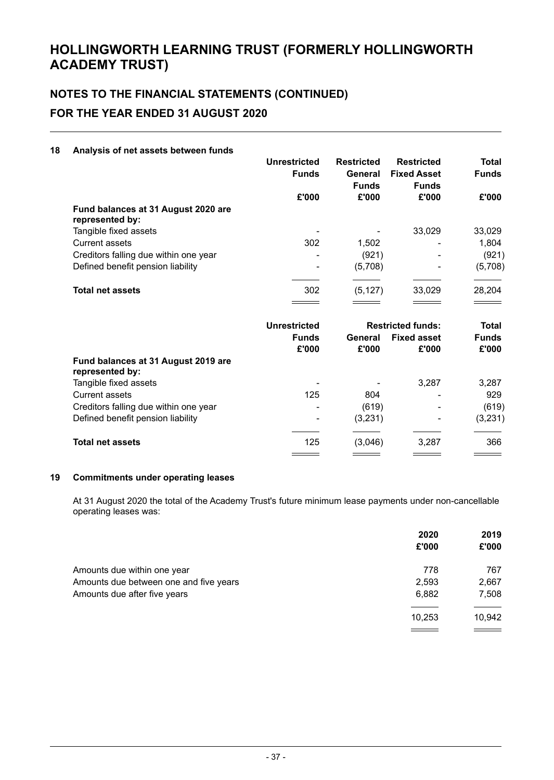# **NOTES TO THE FINANCIAL STATEMENTS (CONTINUED) FOR THE YEAR ENDED 31 AUGUST 2020**

#### **18 Analysis of net assets between funds**

|                                                        | <b>Unrestricted</b><br><b>Funds</b> | <b>Restricted</b><br>General<br><b>Funds</b> | <b>Restricted</b><br><b>Fixed Asset</b><br><b>Funds</b> | <b>Total</b><br><b>Funds</b> |
|--------------------------------------------------------|-------------------------------------|----------------------------------------------|---------------------------------------------------------|------------------------------|
|                                                        | £'000                               | £'000                                        | £'000                                                   | £'000                        |
| Fund balances at 31 August 2020 are<br>represented by: |                                     |                                              |                                                         |                              |
| Tangible fixed assets                                  |                                     |                                              | 33.029                                                  | 33,029                       |
| <b>Current assets</b>                                  | 302                                 | 1,502                                        |                                                         | 1,804                        |
| Creditors falling due within one year                  | ۰                                   | (921)                                        |                                                         | (921)                        |
| Defined benefit pension liability                      | ۰                                   | (5,708)                                      |                                                         | (5,708)                      |
| <b>Total net assets</b>                                | 302                                 | (5, 127)                                     | 33,029                                                  | 28,204                       |
|                                                        |                                     |                                              |                                                         |                              |

|                                                        | Unrestricted          | <b>Restricted funds:</b> |                             | <b>Total</b>          |
|--------------------------------------------------------|-----------------------|--------------------------|-----------------------------|-----------------------|
|                                                        | <b>Funds</b><br>£'000 | General<br>£'000         | <b>Fixed asset</b><br>£'000 | <b>Funds</b><br>£'000 |
| Fund balances at 31 August 2019 are<br>represented by: |                       |                          |                             |                       |
| Tangible fixed assets                                  | ۰                     |                          | 3.287                       | 3,287                 |
| <b>Current assets</b>                                  | 125                   | 804                      |                             | 929                   |
| Creditors falling due within one year                  | ۰                     | (619)                    |                             | (619)                 |
| Defined benefit pension liability                      | $\blacksquare$        | (3,231)                  |                             | (3,231)               |
| <b>Total net assets</b>                                | 125                   | (3,046)                  | 3,287                       | 366                   |
|                                                        |                       |                          |                             |                       |

#### **19 Commitments under operating leases**

At 31 August 2020 the total of the Academy Trust's future minimum lease payments under non-cancellable operating leases was:

|                                        | 2020<br>£'000 | 2019<br>£'000 |
|----------------------------------------|---------------|---------------|
|                                        |               |               |
| Amounts due within one year            | 778           | 767           |
| Amounts due between one and five years | 2,593         | 2,667         |
| Amounts due after five years           | 6,882         | 7,508         |
|                                        |               |               |
|                                        | 10,253        | 10,942        |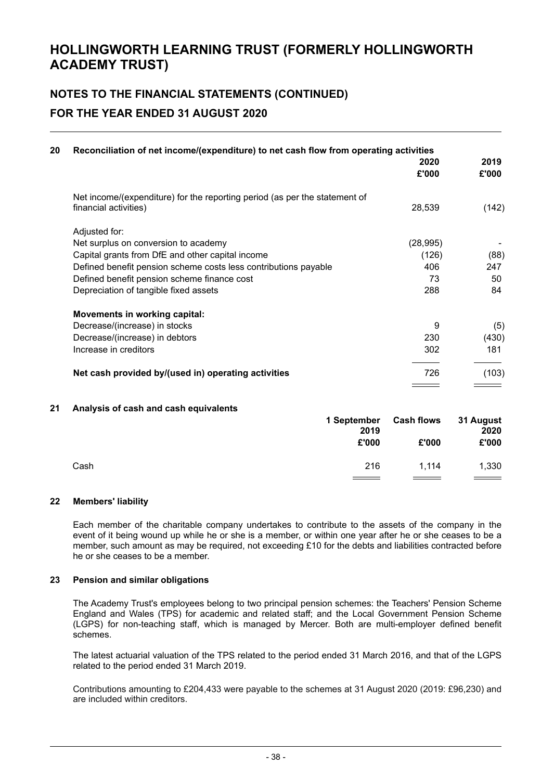# **NOTES TO THE FINANCIAL STATEMENTS (CONTINUED) FOR THE YEAR ENDED 31 AUGUST 2020**

| Reconciliation of net income/(expenditure) to net cash flow from operating activities               |                                                                                                                                                                                                                                                                                                                                             |               |
|-----------------------------------------------------------------------------------------------------|---------------------------------------------------------------------------------------------------------------------------------------------------------------------------------------------------------------------------------------------------------------------------------------------------------------------------------------------|---------------|
|                                                                                                     | 2020<br>£'000                                                                                                                                                                                                                                                                                                                               | 2019<br>£'000 |
| Net income/(expenditure) for the reporting period (as per the statement of<br>financial activities) | 28,539                                                                                                                                                                                                                                                                                                                                      | (142)         |
| Adjusted for:                                                                                       |                                                                                                                                                                                                                                                                                                                                             |               |
| Net surplus on conversion to academy                                                                | (28, 995)                                                                                                                                                                                                                                                                                                                                   |               |
| Capital grants from DfE and other capital income                                                    | (126)                                                                                                                                                                                                                                                                                                                                       | (88)          |
|                                                                                                     | 406                                                                                                                                                                                                                                                                                                                                         | 247           |
|                                                                                                     | 73                                                                                                                                                                                                                                                                                                                                          | 50            |
|                                                                                                     | 288                                                                                                                                                                                                                                                                                                                                         | 84            |
|                                                                                                     |                                                                                                                                                                                                                                                                                                                                             |               |
|                                                                                                     | 9                                                                                                                                                                                                                                                                                                                                           | (5)           |
|                                                                                                     | 230                                                                                                                                                                                                                                                                                                                                         | (430)         |
|                                                                                                     | 302                                                                                                                                                                                                                                                                                                                                         | 181           |
|                                                                                                     | 726                                                                                                                                                                                                                                                                                                                                         | (103)         |
| Analysis of cash and cash equivalents                                                               |                                                                                                                                                                                                                                                                                                                                             |               |
|                                                                                                     | Defined benefit pension scheme costs less contributions payable<br>Defined benefit pension scheme finance cost<br>Depreciation of tangible fixed assets<br>Movements in working capital:<br>Decrease/(increase) in stocks<br>Decrease/(increase) in debtors<br>Increase in creditors<br>Net cash provided by/(used in) operating activities |               |

|      | 1 September<br>2019<br>£'000 | <b>Cash flows</b><br>£'000 | 31 August<br>2020<br>£'000 |
|------|------------------------------|----------------------------|----------------------------|
| Cash | 216                          | 1.114                      | 1,330<br>$\frac{1}{1}$     |

#### **22 Members' liability**

Each member of the charitable company undertakes to contribute to the assets of the company in the event of it being wound up while he or she is a member, or within one year after he or she ceases to be a member, such amount as may be required, not exceeding £10 for the debts and liabilities contracted before he or she ceases to be a member.

#### **23 Pension and similar obligations**

The Academy Trust's employees belong to two principal pension schemes: the Teachers' Pension Scheme England and Wales (TPS) for academic and related staff; and the Local Government Pension Scheme (LGPS) for non-teaching staff, which is managed by Mercer. Both are multi-employer defined benefit schemes.

The latest actuarial valuation of the TPS related to the period ended 31 March 2016, and that of the LGPS related to the period ended 31 March 2019.

Contributions amounting to £204,433 were payable to the schemes at 31 August 2020 (2019: £96,230) and are included within creditors.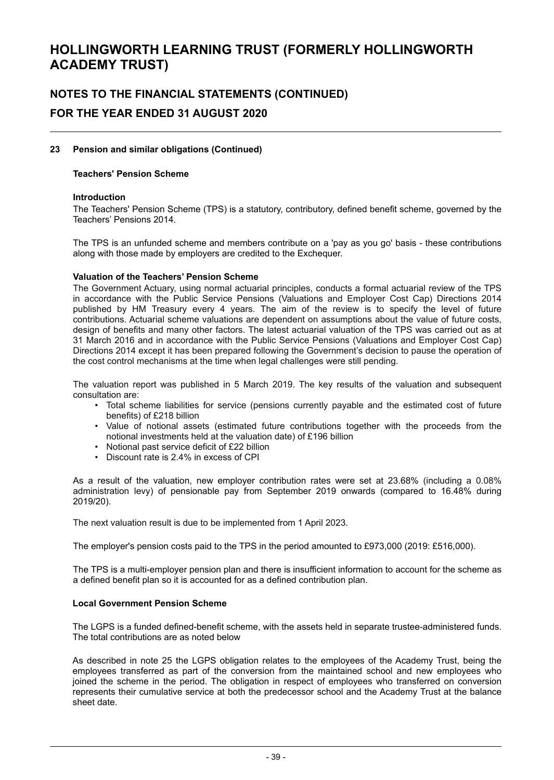# **NOTES TO THE FINANCIAL STATEMENTS (CONTINUED) FOR THE YEAR ENDED 31 AUGUST 2020**

#### **23 Pension and similar obligations (Continued)**

#### **Teachers' Pension Scheme**

#### **Introduction**

The Teachers' Pension Scheme (TPS) is a statutory, contributory, defined benefit scheme, governed by the Teachers' Pensions 2014.

The TPS is an unfunded scheme and members contribute on a 'pay as you go' basis - these contributions along with those made by employers are credited to the Exchequer.

#### **Valuation of the Teachers' Pension Scheme**

The Government Actuary, using normal actuarial principles, conducts a formal actuarial review of the TPS in accordance with the Public Service Pensions (Valuations and Employer Cost Cap) Directions 2014 published by HM Treasury every 4 years. The aim of the review is to specify the level of future contributions. Actuarial scheme valuations are dependent on assumptions about the value of future costs, design of benefits and many other factors. The latest actuarial valuation of the TPS was carried out as at 31 March 2016 and in accordance with the Public Service Pensions (Valuations and Employer Cost Cap) Directions 2014 except it has been prepared following the Government's decision to pause the operation of the cost control mechanisms at the time when legal challenges were still pending.

The valuation report was published in 5 March 2019. The key results of the valuation and subsequent consultation are:

- Total scheme liabilities for service (pensions currently payable and the estimated cost of future benefits) of £218 billion
- Value of notional assets (estimated future contributions together with the proceeds from the notional investments held at the valuation date) of £196 billion
- Notional past service deficit of £22 billion
- Discount rate is 2.4% in excess of CPI

As a result of the valuation, new employer contribution rates were set at 23.68% (including a 0.08% administration levy) of pensionable pay from September 2019 onwards (compared to 16.48% during 2019/20).

The next valuation result is due to be implemented from 1 April 2023.

The employer's pension costs paid to the TPS in the period amounted to £973,000 (2019: £516,000).

The TPS is a multi-employer pension plan and there is insufficient information to account for the scheme as a defined benefit plan so it is accounted for as a defined contribution plan.

#### **Local Government Pension Scheme**

The LGPS is a funded defined-benefit scheme, with the assets held in separate trustee-administered funds. The total contributions are as noted below

As described in note 25 the LGPS obligation relates to the employees of the Academy Trust, being the employees transferred as part of the conversion from the maintained school and new employees who joined the scheme in the period. The obligation in respect of employees who transferred on conversion represents their cumulative service at both the predecessor school and the Academy Trust at the balance sheet date.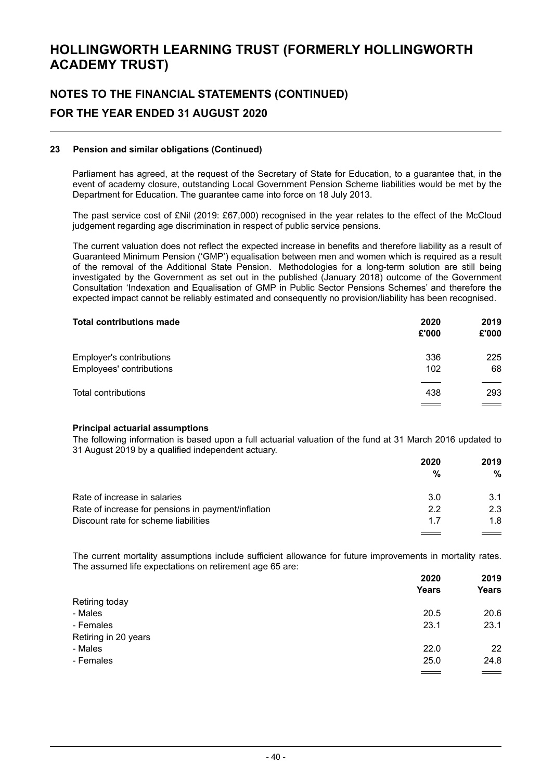# **NOTES TO THE FINANCIAL STATEMENTS (CONTINUED) FOR THE YEAR ENDED 31 AUGUST 2020**

#### **23 Pension and similar obligations (Continued)**

Parliament has agreed, at the request of the Secretary of State for Education, to a guarantee that, in the event of academy closure, outstanding Local Government Pension Scheme liabilities would be met by the Department for Education. The guarantee came into force on 18 July 2013.

The past service cost of £Nil (2019: £67,000) recognised in the year relates to the effect of the McCloud judgement regarding age discrimination in respect of public service pensions.

The current valuation does not reflect the expected increase in benefits and therefore liability as a result of Guaranteed Minimum Pension ('GMP') equalisation between men and women which is required as a result of the removal of the Additional State Pension. Methodologies for a long-term solution are still being investigated by the Government as set out in the published (January 2018) outcome of the Government Consultation 'Indexation and Equalisation of GMP in Public Sector Pensions Schemes' and therefore the expected impact cannot be reliably estimated and consequently no provision/liability has been recognised.

| <b>Total contributions made</b>                      | 2020<br>£'000   | 2019<br>£'000 |
|------------------------------------------------------|-----------------|---------------|
| Employer's contributions<br>Employees' contributions | 336<br>102      | 225<br>68     |
| Total contributions                                  | 438<br>$\equiv$ | 293<br>$\sim$ |

#### **Principal actuarial assumptions**

The following information is based upon a full actuarial valuation of the fund at 31 March 2016 updated to 31 August 2019 by a qualified independent actuary.

|                                                    | 2020 | 2019 |
|----------------------------------------------------|------|------|
|                                                    | %    | %    |
| Rate of increase in salaries                       | 3.0  | 3.1  |
| Rate of increase for pensions in payment/inflation | 22   | 23   |
| Discount rate for scheme liabilities               | 17   | 18.  |

The current mortality assumptions include sufficient allowance for future improvements in mortality rates. The assumed life expectations on retirement age 65 are:

|                      | 2020         | 2019<br><b>Years</b> |
|----------------------|--------------|----------------------|
|                      | <b>Years</b> |                      |
| Retiring today       |              |                      |
| - Males              | 20.5         | 20.6                 |
| - Females            | 23.1         | 23.1                 |
| Retiring in 20 years |              |                      |
| - Males              | 22.0         | 22                   |
| - Females            | 25.0         | 24.8                 |
|                      | ___          | $\equiv$             |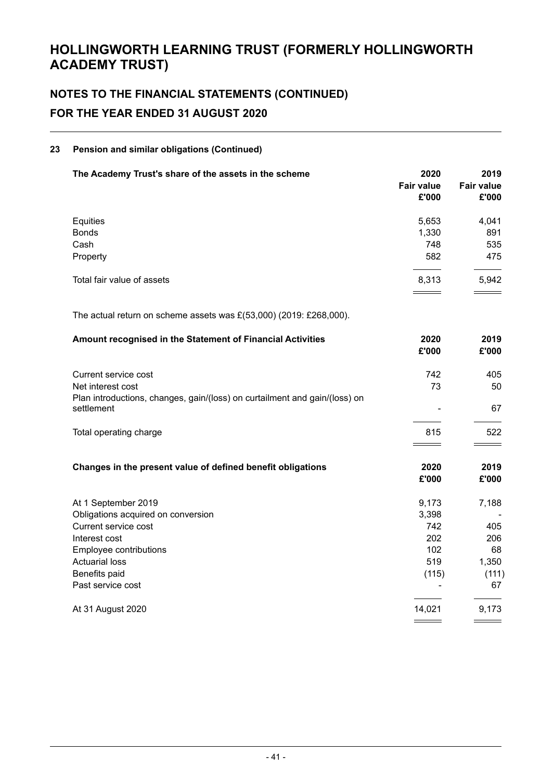# **NOTES TO THE FINANCIAL STATEMENTS (CONTINUED) FOR THE YEAR ENDED 31 AUGUST 2020**

#### **23 Pension and similar obligations (Continued)**

| The Academy Trust's share of the assets in the scheme                                    | 2020<br><b>Fair value</b><br>£'000 | 2019<br><b>Fair value</b><br>£'000 |
|------------------------------------------------------------------------------------------|------------------------------------|------------------------------------|
| Equities                                                                                 | 5,653                              | 4,041                              |
| <b>Bonds</b>                                                                             | 1,330                              | 891                                |
| Cash                                                                                     | 748                                | 535                                |
| Property                                                                                 | 582                                | 475                                |
| Total fair value of assets                                                               | 8,313                              | 5,942                              |
| The actual return on scheme assets was $E(53,000)$ (2019: £268,000).                     |                                    |                                    |
| Amount recognised in the Statement of Financial Activities                               | 2020<br>£'000                      | 2019<br>£'000                      |
| Current service cost                                                                     | 742                                | 405                                |
| Net interest cost                                                                        | 73                                 | 50                                 |
| Plan introductions, changes, gain/(loss) on curtailment and gain/(loss) on<br>settlement |                                    | 67                                 |
| Total operating charge                                                                   | 815                                | 522                                |
| Changes in the present value of defined benefit obligations                              | 2020<br>£'000                      | 2019<br>£'000                      |
| At 1 September 2019                                                                      | 9,173                              | 7,188                              |
| Obligations acquired on conversion                                                       | 3,398                              |                                    |
| Current service cost                                                                     | 742                                | 405                                |
| Interest cost                                                                            | 202                                | 206                                |
| Employee contributions                                                                   | 102                                | 68                                 |
| <b>Actuarial loss</b>                                                                    | 519                                | 1,350                              |
| Benefits paid                                                                            | (115)                              | (111)                              |
| Past service cost                                                                        |                                    | 67                                 |
| At 31 August 2020                                                                        | 14,021                             | 9,173                              |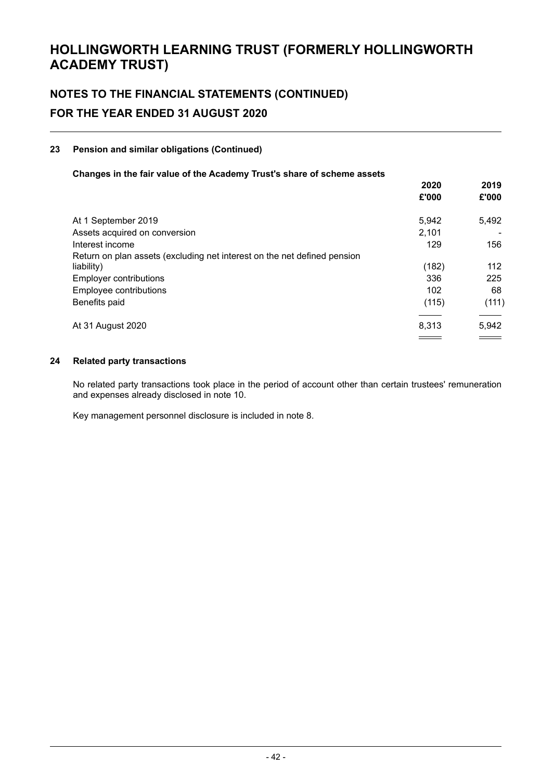# **NOTES TO THE FINANCIAL STATEMENTS (CONTINUED) FOR THE YEAR ENDED 31 AUGUST 2020**

### **23 Pension and similar obligations (Continued)**

#### **Changes in the fair value of the Academy Trust's share of scheme assets**

|                                                                          | 2020<br>£'000 | 2019<br>£'000     |
|--------------------------------------------------------------------------|---------------|-------------------|
|                                                                          |               |                   |
| At 1 September 2019                                                      | 5.942         | 5,492             |
| Assets acquired on conversion                                            | 2,101         |                   |
| Interest income                                                          | 129           | 156               |
| Return on plan assets (excluding net interest on the net defined pension |               |                   |
| liability)                                                               | (182)         | 112               |
| Employer contributions                                                   | 336           | 225               |
| Employee contributions                                                   | 102           | 68                |
| Benefits paid                                                            | (115)         | (111)             |
| At 31 August 2020                                                        | 8.313         | 5,942             |
|                                                                          |               | $\equiv$ $\equiv$ |

#### **24 Related party transactions**

No related party transactions took place in the period of account other than certain trustees' remuneration and expenses already disclosed in note 10.

Key management personnel disclosure is included in note 8.